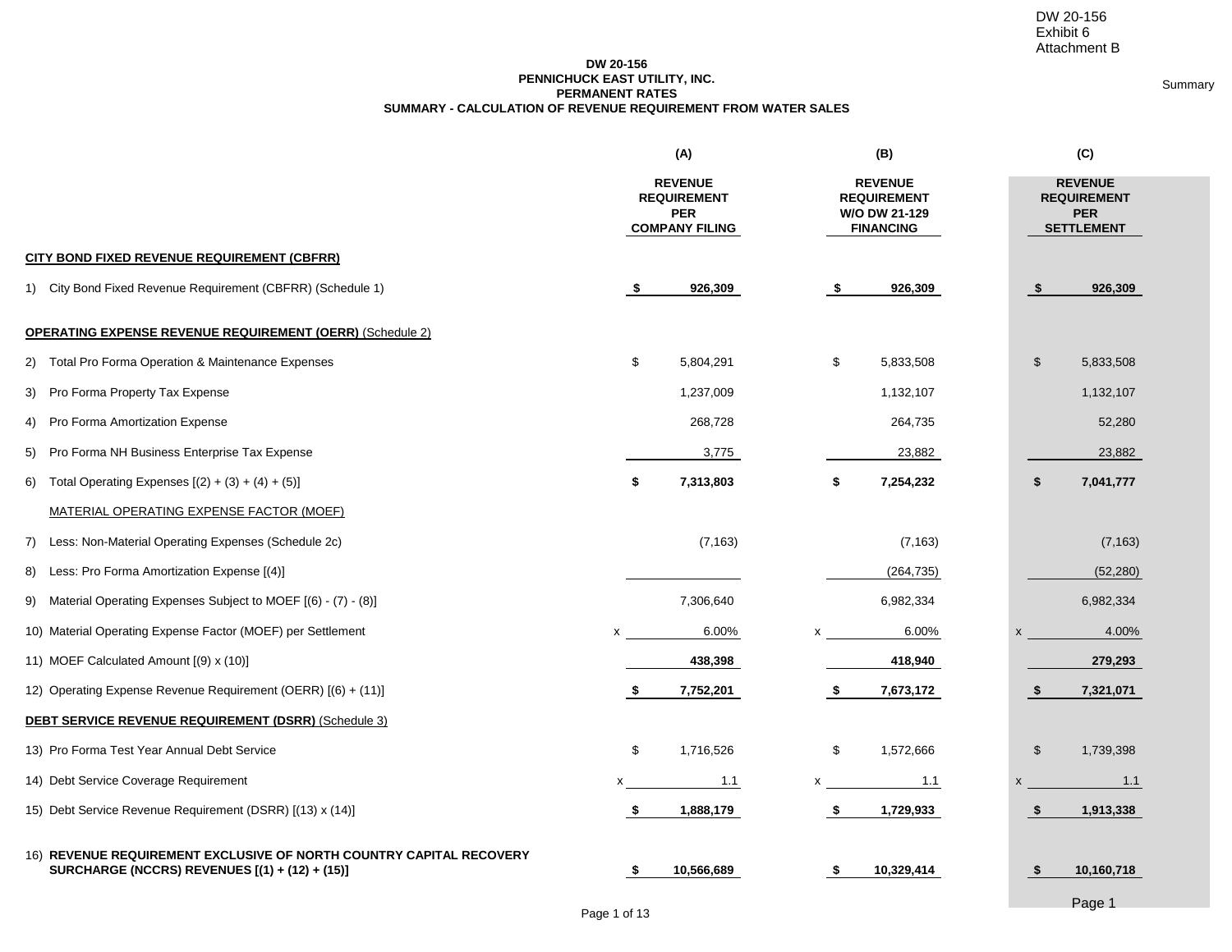Summary

### **DW 20-156 PENNICHUCK EAST UTILITY, INC. SUMMARY - CALCULATION OF REVENUE REQUIREMENT FROM WATER SALES PERMANENT RATES**

|                                                                                                                       |      | (A)                                                                         |      | (B)                                                                       |      | (C)                                                                     |  |  |  |
|-----------------------------------------------------------------------------------------------------------------------|------|-----------------------------------------------------------------------------|------|---------------------------------------------------------------------------|------|-------------------------------------------------------------------------|--|--|--|
|                                                                                                                       |      | <b>REVENUE</b><br><b>REQUIREMENT</b><br><b>PER</b><br><b>COMPANY FILING</b> |      | <b>REVENUE</b><br><b>REQUIREMENT</b><br>W/O DW 21-129<br><b>FINANCING</b> |      | <b>REVENUE</b><br><b>REQUIREMENT</b><br><b>PER</b><br><b>SETTLEMENT</b> |  |  |  |
| <b>CITY BOND FIXED REVENUE REQUIREMENT (CBFRR)</b>                                                                    |      |                                                                             |      |                                                                           |      |                                                                         |  |  |  |
| 1) City Bond Fixed Revenue Requirement (CBFRR) (Schedule 1)                                                           | - \$ | 926,309                                                                     | - \$ | 926,309                                                                   | - \$ | 926,309                                                                 |  |  |  |
| <b>OPERATING EXPENSE REVENUE REQUIREMENT (OERR)</b> (Schedule 2)                                                      |      |                                                                             |      |                                                                           |      |                                                                         |  |  |  |
| 2) Total Pro Forma Operation & Maintenance Expenses                                                                   | \$   | 5,804,291                                                                   | \$   | 5,833,508                                                                 | \$   | 5,833,508                                                               |  |  |  |
| 3) Pro Forma Property Tax Expense                                                                                     |      | 1,237,009                                                                   |      | 1,132,107                                                                 |      | 1,132,107                                                               |  |  |  |
| 4) Pro Forma Amortization Expense                                                                                     |      | 268,728                                                                     |      | 264,735                                                                   |      | 52,280                                                                  |  |  |  |
| 5) Pro Forma NH Business Enterprise Tax Expense                                                                       |      | 3,775                                                                       |      | 23,882                                                                    |      | 23,882                                                                  |  |  |  |
| 6) Total Operating Expenses $[(2) + (3) + (4) + (5)]$                                                                 | \$   | 7,313,803                                                                   | \$   | 7,254,232                                                                 | \$   | 7,041,777                                                               |  |  |  |
| MATERIAL OPERATING EXPENSE FACTOR (MOEF)                                                                              |      |                                                                             |      |                                                                           |      |                                                                         |  |  |  |
| 7) Less: Non-Material Operating Expenses (Schedule 2c)                                                                |      | (7, 163)                                                                    |      | (7, 163)                                                                  |      | (7, 163)                                                                |  |  |  |
| 8) Less: Pro Forma Amortization Expense [(4)]                                                                         |      |                                                                             |      | (264, 735)                                                                |      | (52, 280)                                                               |  |  |  |
| 9) Material Operating Expenses Subject to MOEF [(6) - (7) - (8)]                                                      |      | 7,306,640                                                                   |      | 6,982,334                                                                 |      | 6,982,334                                                               |  |  |  |
| 10) Material Operating Expense Factor (MOEF) per Settlement                                                           | x    | 6.00%                                                                       |      | 6.00%                                                                     |      | 4.00%                                                                   |  |  |  |
| 11) MOEF Calculated Amount [(9) x (10)]                                                                               |      | 438,398                                                                     |      | 418,940                                                                   |      | 279,293                                                                 |  |  |  |
| 12) Operating Expense Revenue Requirement (OERR) [(6) + (11)]                                                         | - 5  | 7,752,201                                                                   | \$   | 7,673,172                                                                 | - \$ | 7,321,071                                                               |  |  |  |
| DEBT SERVICE REVENUE REQUIREMENT (DSRR) (Schedule 3)                                                                  |      |                                                                             |      |                                                                           |      |                                                                         |  |  |  |
| 13) Pro Forma Test Year Annual Debt Service                                                                           | \$   | 1,716,526                                                                   | \$   | 1,572,666                                                                 | \$   | 1,739,398                                                               |  |  |  |
| 14) Debt Service Coverage Requirement                                                                                 | x    | 1.1                                                                         |      | 1.1                                                                       | x    | 1.1                                                                     |  |  |  |
| 15) Debt Service Revenue Requirement (DSRR) [(13) x (14)]                                                             | -\$  | 1,888,179                                                                   | \$   | 1,729,933                                                                 | -\$  | 1,913,338                                                               |  |  |  |
| 16) REVENUE REQUIREMENT EXCLUSIVE OF NORTH COUNTRY CAPITAL RECOVERY<br>SURCHARGE (NCCRS) REVENUES [(1) + (12) + (15)] | - \$ | 10,566,689                                                                  | -\$  | 10,329,414                                                                | -\$  | 10,160,718                                                              |  |  |  |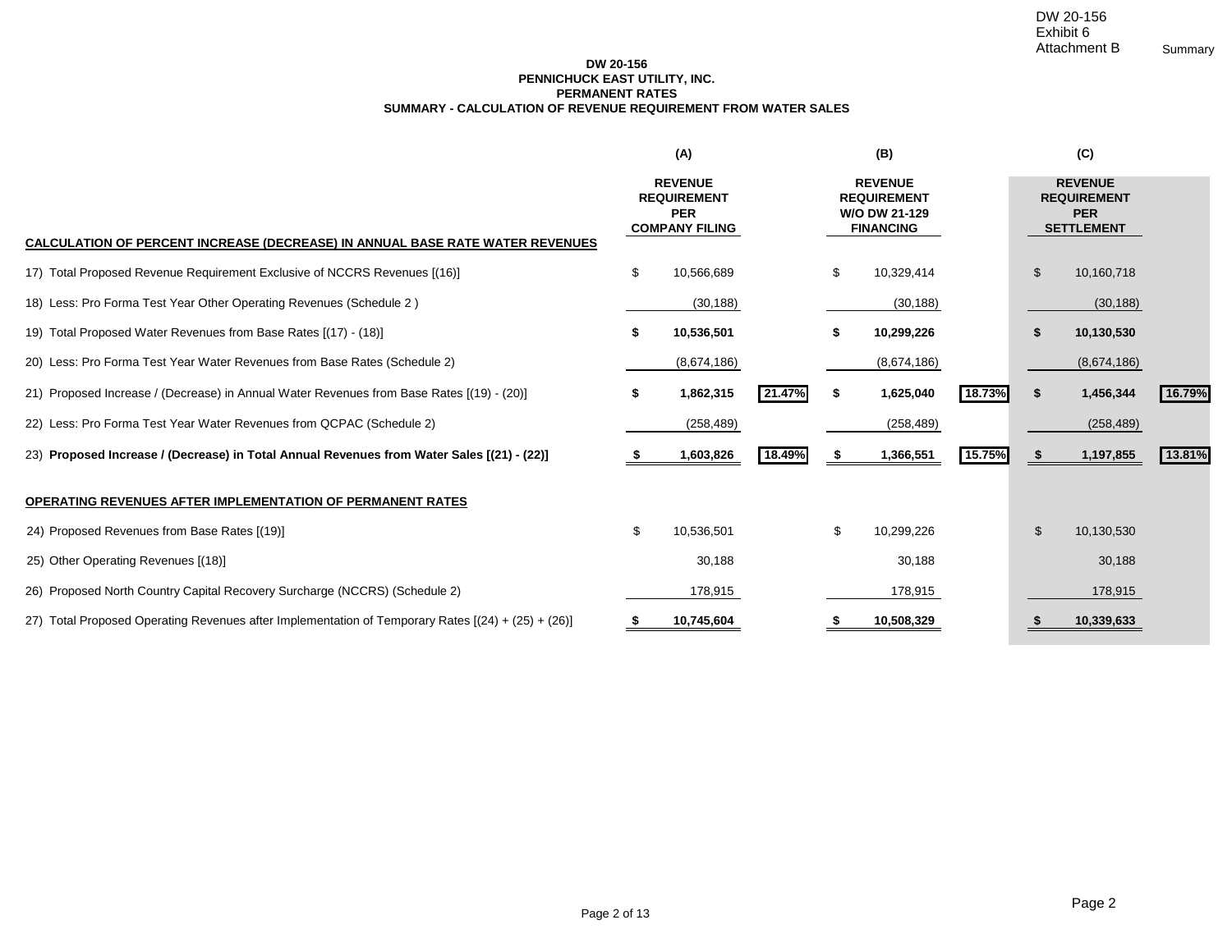### **DW 20-156 PENNICHUCK EAST UTILITY, INC. SUMMARY - CALCULATION OF REVENUE REQUIREMENT FROM WATER SALES PERMANENT RATES**

|                                                                                                    |    | (A)                                                                         |        |      | (B)                                                                       |        |    |                                                                         |        |
|----------------------------------------------------------------------------------------------------|----|-----------------------------------------------------------------------------|--------|------|---------------------------------------------------------------------------|--------|----|-------------------------------------------------------------------------|--------|
|                                                                                                    |    | <b>REVENUE</b><br><b>REQUIREMENT</b><br><b>PER</b><br><b>COMPANY FILING</b> |        |      | <b>REVENUE</b><br><b>REQUIREMENT</b><br>W/O DW 21-129<br><b>FINANCING</b> |        |    | <b>REVENUE</b><br><b>REQUIREMENT</b><br><b>PER</b><br><b>SETTLEMENT</b> |        |
| <b>CALCULATION OF PERCENT INCREASE (DECREASE) IN ANNUAL BASE RATE WATER REVENUES</b>               |    |                                                                             |        |      |                                                                           |        |    |                                                                         |        |
| 17) Total Proposed Revenue Requirement Exclusive of NCCRS Revenues [(16)]                          | \$ | 10,566,689                                                                  |        | \$   | 10,329,414                                                                |        | \$ | 10,160,718                                                              |        |
| 18) Less: Pro Forma Test Year Other Operating Revenues (Schedule 2)                                |    | (30, 188)                                                                   |        |      | (30, 188)                                                                 |        |    | (30, 188)                                                               |        |
| 19) Total Proposed Water Revenues from Base Rates [(17) - (18)]                                    |    | 10,536,501                                                                  |        |      | 10,299,226                                                                |        |    | 10,130,530                                                              |        |
| 20) Less: Pro Forma Test Year Water Revenues from Base Rates (Schedule 2)                          |    | (8,674,186)                                                                 |        |      | (8,674,186)                                                               |        |    | (8,674,186)                                                             |        |
| 21) Proposed Increase / (Decrease) in Annual Water Revenues from Base Rates [(19) - (20)]          | \$ | 1,862,315                                                                   | 21.47% | \$   | 1,625,040                                                                 | 18.73% | \$ | 1,456,344                                                               | 16.79% |
| 22) Less: Pro Forma Test Year Water Revenues from QCPAC (Schedule 2)                               |    | (258, 489)                                                                  |        |      | (258, 489)                                                                |        |    | (258, 489)                                                              |        |
| 23) Proposed Increase / (Decrease) in Total Annual Revenues from Water Sales [(21) - (22)]         |    | 1,603,826                                                                   | 18.49% | - \$ | 1,366,551                                                                 | 15.75% |    | 1,197,855                                                               | 13.81% |
| <b>OPERATING REVENUES AFTER IMPLEMENTATION OF PERMANENT RATES</b>                                  |    |                                                                             |        |      |                                                                           |        |    |                                                                         |        |
| 24) Proposed Revenues from Base Rates [(19)]                                                       | \$ | 10,536,501                                                                  |        | \$   | 10,299,226                                                                |        | \$ | 10,130,530                                                              |        |
| 25) Other Operating Revenues [(18)]                                                                |    | 30,188                                                                      |        |      | 30,188                                                                    |        |    | 30,188                                                                  |        |
| 26) Proposed North Country Capital Recovery Surcharge (NCCRS) (Schedule 2)                         |    | 178,915                                                                     |        |      | 178,915                                                                   |        |    | 178,915                                                                 |        |
| 27) Total Proposed Operating Revenues after Implementation of Temporary Rates [(24) + (25) + (26)] | æ. | 10,745,604                                                                  |        |      | 10,508,329                                                                |        |    | 10,339,633                                                              |        |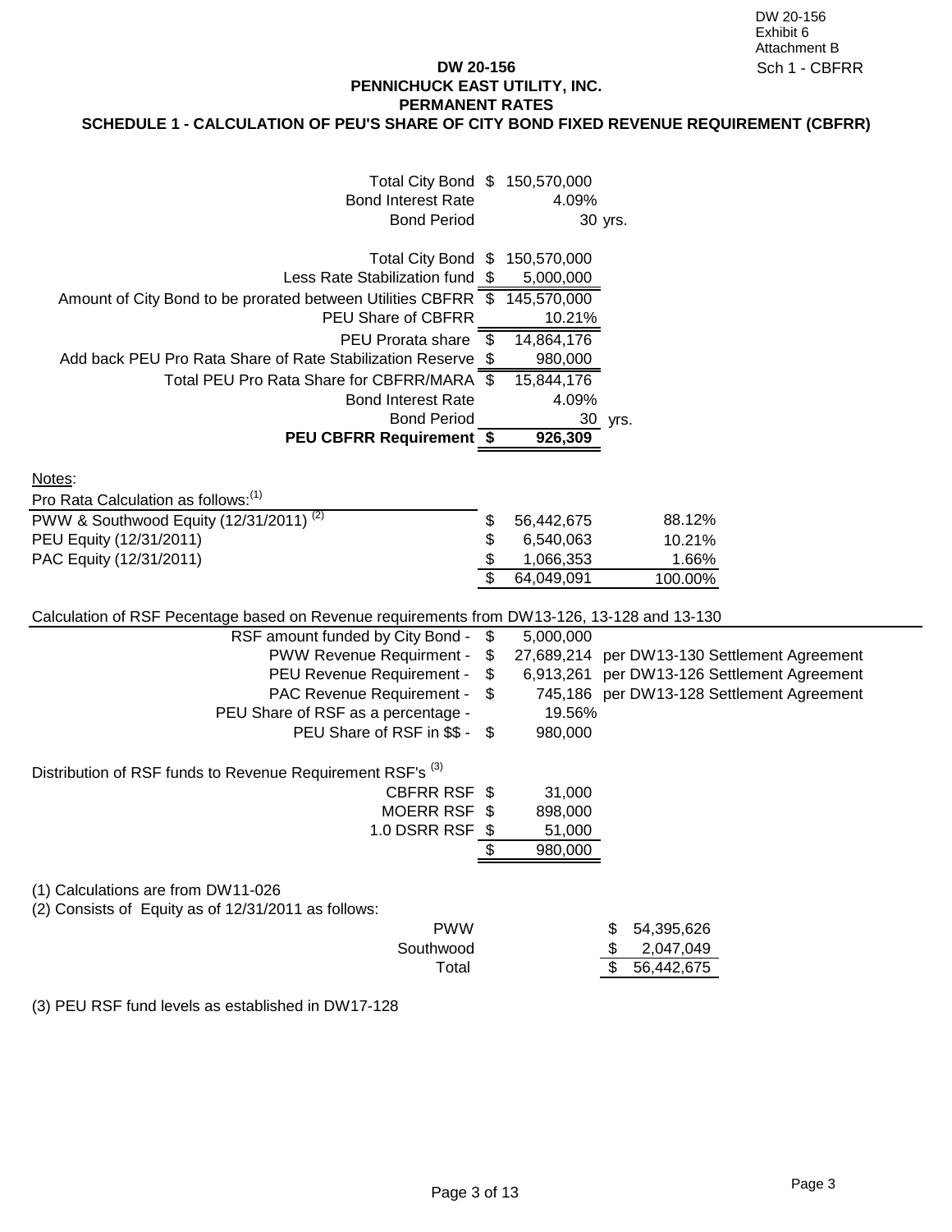## **DW 20-156 PENNICHUCK EAST UTILITY, INC. PERMANENT RATES**

# **SCHEDULE 1 - CALCULATION OF PEU'S SHARE OF CITY BOND FIXED REVENUE REQUIREMENT (CBFRR)**

| Total City Bond \$ 150,570,000<br><b>Bond Interest Rate</b><br><b>Bond Period</b>                                                                                                          |                            | 4.09%                                              | 30 yrs.                                                                                                                                  |  |
|--------------------------------------------------------------------------------------------------------------------------------------------------------------------------------------------|----------------------------|----------------------------------------------------|------------------------------------------------------------------------------------------------------------------------------------------|--|
| Total City Bond \$<br>Less Rate Stabilization fund \$<br>Amount of City Bond to be prorated between Utilities CBFRR \$<br>PEU Share of CBFRR                                               |                            | 150,570,000<br>5,000,000<br>145,570,000<br>10.21%  |                                                                                                                                          |  |
| PEU Prorata share<br>Add back PEU Pro Rata Share of Rate Stabilization Reserve \$<br>Total PEU Pro Rata Share for CBFRR/MARA \$                                                            | \$                         | 14,864,176<br>980,000<br>15,844,176                |                                                                                                                                          |  |
| <b>Bond Interest Rate</b><br><b>Bond Period</b><br><b>PEU CBFRR Requirement \$</b>                                                                                                         |                            | 4.09%<br>926,309                                   | 30 yrs.                                                                                                                                  |  |
| Notes:<br>Pro Rata Calculation as follows: <sup>(1)</sup>                                                                                                                                  |                            |                                                    |                                                                                                                                          |  |
| PWW & Southwood Equity (12/31/2011) <sup>(2)</sup><br>PEU Equity (12/31/2011)<br>PAC Equity (12/31/2011)                                                                                   | \$<br>\$                   | 56,442,675<br>6,540,063<br>1,066,353<br>64,049,091 | 88.12%<br>10.21%<br>1.66%<br>100.00%                                                                                                     |  |
| Calculation of RSF Pecentage based on Revenue requirements from DW13-126, 13-128 and 13-130                                                                                                |                            |                                                    |                                                                                                                                          |  |
| RSF amount funded by City Bond -<br>PWW Revenue Requirment -<br>PEU Revenue Requirement -<br>PAC Revenue Requirement -<br>PEU Share of RSF as a percentage -<br>PEU Share of RSF in \$\$ - | \$<br>\$<br>\$<br>\$<br>\$ | 5,000,000<br>19.56%<br>980,000                     | 27,689,214 per DW13-130 Settlement Agreement<br>6,913,261 per DW13-126 Settlement Agreement<br>745,186 per DW13-128 Settlement Agreement |  |
| Distribution of RSF funds to Revenue Requirement RSF's <sup>(3)</sup><br>CBFRR RSF \$<br>MOERR RSF \$<br>1.0 DSRR RSF                                                                      | - \$<br>\$                 | 31,000<br>898,000<br>51,000<br>980,000             |                                                                                                                                          |  |
| (1) Calculations are from DW11-026<br>(2) Consists of Equity as of 12/31/2011 as follows:<br><b>PWW</b><br>Southwood<br>Total                                                              |                            |                                                    | 54,395,626<br>2,047,049<br>56,442,675<br>\$                                                                                              |  |
| (3) PEU RSF fund levels as established in DW17-128                                                                                                                                         |                            |                                                    |                                                                                                                                          |  |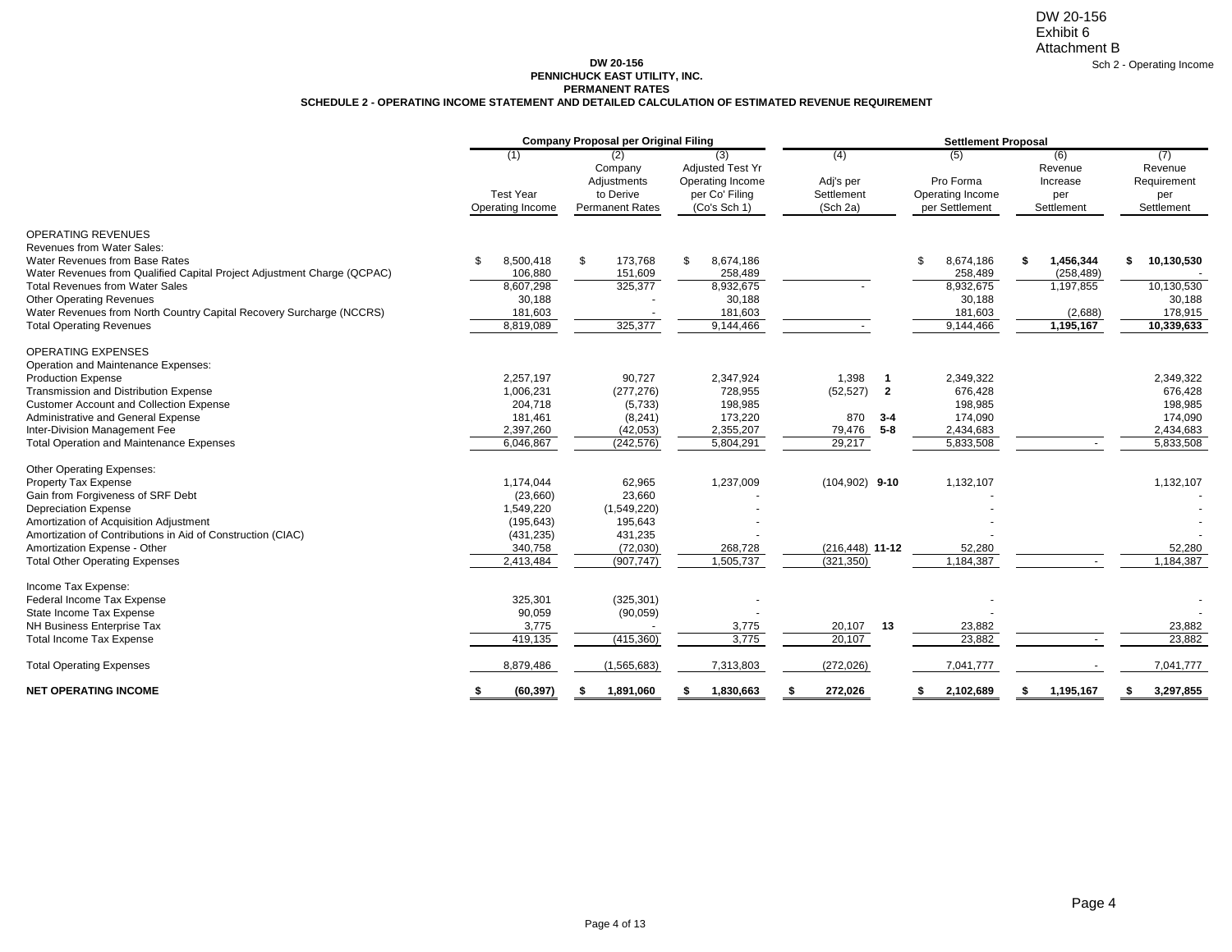### **DW 20-156 PENNICHUCK EAST UTILITY, INC. SCHEDULE 2 - OPERATING INCOME STATEMENT AND DETAILED CALCULATION OF ESTIMATED REVENUE REQUIREMENT PERMANENT RATES**

|                                                                                                                                                                                                                                                                                                                                                              |                                                                                        | <b>Company Proposal per Original Filing</b>                                     |                                                                                      | <b>Settlement Proposal</b>                                                                            |                                                                           |                                                                    |                                                                      |  |  |  |
|--------------------------------------------------------------------------------------------------------------------------------------------------------------------------------------------------------------------------------------------------------------------------------------------------------------------------------------------------------------|----------------------------------------------------------------------------------------|---------------------------------------------------------------------------------|--------------------------------------------------------------------------------------|-------------------------------------------------------------------------------------------------------|---------------------------------------------------------------------------|--------------------------------------------------------------------|----------------------------------------------------------------------|--|--|--|
|                                                                                                                                                                                                                                                                                                                                                              | (1)<br><b>Test Year</b><br>Operating Income                                            | (2)<br>Company<br>Adjustments<br>to Derive<br><b>Permanent Rates</b>            | (3)<br><b>Adjusted Test Yr</b><br>Operating Income<br>per Co' Filing<br>(Co's Sch 1) | (4)<br>Adj's per<br>Settlement<br>(Sch 2a)                                                            | (5)<br>Pro Forma<br>Operating Income<br>per Settlement                    | (6)<br>Revenue<br>Increase<br>per<br>Settlement                    | (7)<br>Revenue<br>Requirement<br>per<br>Settlement                   |  |  |  |
| <b>OPERATING REVENUES</b><br>Revenues from Water Sales:<br>Water Revenues from Base Rates<br>Water Revenues from Qualified Capital Project Adjustment Charge (QCPAC)<br><b>Total Revenues from Water Sales</b><br><b>Other Operating Revenues</b><br>Water Revenues from North Country Capital Recovery Surcharge (NCCRS)<br><b>Total Operating Revenues</b> | 8,500,418<br>\$.<br>106,880<br>8,607,298<br>30,188<br>181,603<br>8,819,089             | \$<br>173,768<br>151,609<br>325,377<br>325,377                                  | 8,674,186<br>-S<br>258,489<br>8,932,675<br>30,188<br>181,603<br>9,144,466            |                                                                                                       | \$<br>8,674,186<br>258,489<br>8,932,675<br>30,188<br>181,603<br>9,144,466 | 1,456,344<br>\$<br>(258, 489)<br>1,197,855<br>(2,688)<br>1,195,167 | 10,130,530<br>\$<br>10,130,530<br>30,188<br>178,915<br>10,339,633    |  |  |  |
| <b>OPERATING EXPENSES</b><br>Operation and Maintenance Expenses:<br><b>Production Expense</b><br>Transmission and Distribution Expense<br><b>Customer Account and Collection Expense</b><br>Administrative and General Expense<br>Inter-Division Management Fee<br><b>Total Operation and Maintenance Expenses</b>                                           | 2,257,197<br>1,006,231<br>204,718<br>181,461<br>2,397,260<br>6,046,867                 | 90,727<br>(277, 276)<br>(5,733)<br>(8, 241)<br>(42, 053)<br>(242, 576)          | 2,347,924<br>728,955<br>198,985<br>173,220<br>2,355,207<br>5,804,291                 | 1,398<br>$\mathbf{1}$<br>(52, 527)<br>$\overline{2}$<br>870<br>$3 - 4$<br>$5 - 8$<br>79,476<br>29,217 | 2,349,322<br>676,428<br>198,985<br>174.090<br>2,434,683<br>5,833,508      |                                                                    | 2,349,322<br>676,428<br>198,985<br>174,090<br>2,434,683<br>5,833,508 |  |  |  |
| Other Operating Expenses:<br>Property Tax Expense<br>Gain from Forgiveness of SRF Debt<br><b>Depreciation Expense</b><br>Amortization of Acquisition Adjustment<br>Amortization of Contributions in Aid of Construction (CIAC)<br>Amortization Expense - Other<br><b>Total Other Operating Expenses</b>                                                      | 1,174,044<br>(23,660)<br>1,549,220<br>(195, 643)<br>(431, 235)<br>340,758<br>2,413,484 | 62,965<br>23,660<br>(1,549,220)<br>195,643<br>431,235<br>(72,030)<br>(907, 747) | 1,237,009<br>268,728<br>1,505,737                                                    | $(104,902)$ 9-10<br>$(216, 448)$ 11-12<br>(321, 350)                                                  | 1,132,107<br>52,280<br>1,184,387                                          |                                                                    | 1,132,107<br>52,280<br>1,184,387                                     |  |  |  |
| Income Tax Expense:<br>Federal Income Tax Expense<br>State Income Tax Expense<br>NH Business Enterprise Tax<br><b>Total Income Tax Expense</b><br><b>Total Operating Expenses</b>                                                                                                                                                                            | 325,301<br>90,059<br>3,775<br>419,135<br>8,879,486                                     | (325, 301)<br>(90,059)<br>(415,360)<br>(1,565,683)                              | 3,775<br>3,775<br>7,313,803                                                          | 20,107<br>13<br>20,107<br>(272, 026)                                                                  | 23,882<br>23,882<br>7,041,777                                             |                                                                    | 23,882<br>23,882<br>7,041,777                                        |  |  |  |
| <b>NET OPERATING INCOME</b>                                                                                                                                                                                                                                                                                                                                  | (60, 397)<br>S                                                                         | 1,891,060<br>- 56                                                               | 1.830.663                                                                            | 272.026                                                                                               | 2.102.689<br>s.                                                           | 1.195.167<br>£.                                                    | 3,297,855<br>Я.                                                      |  |  |  |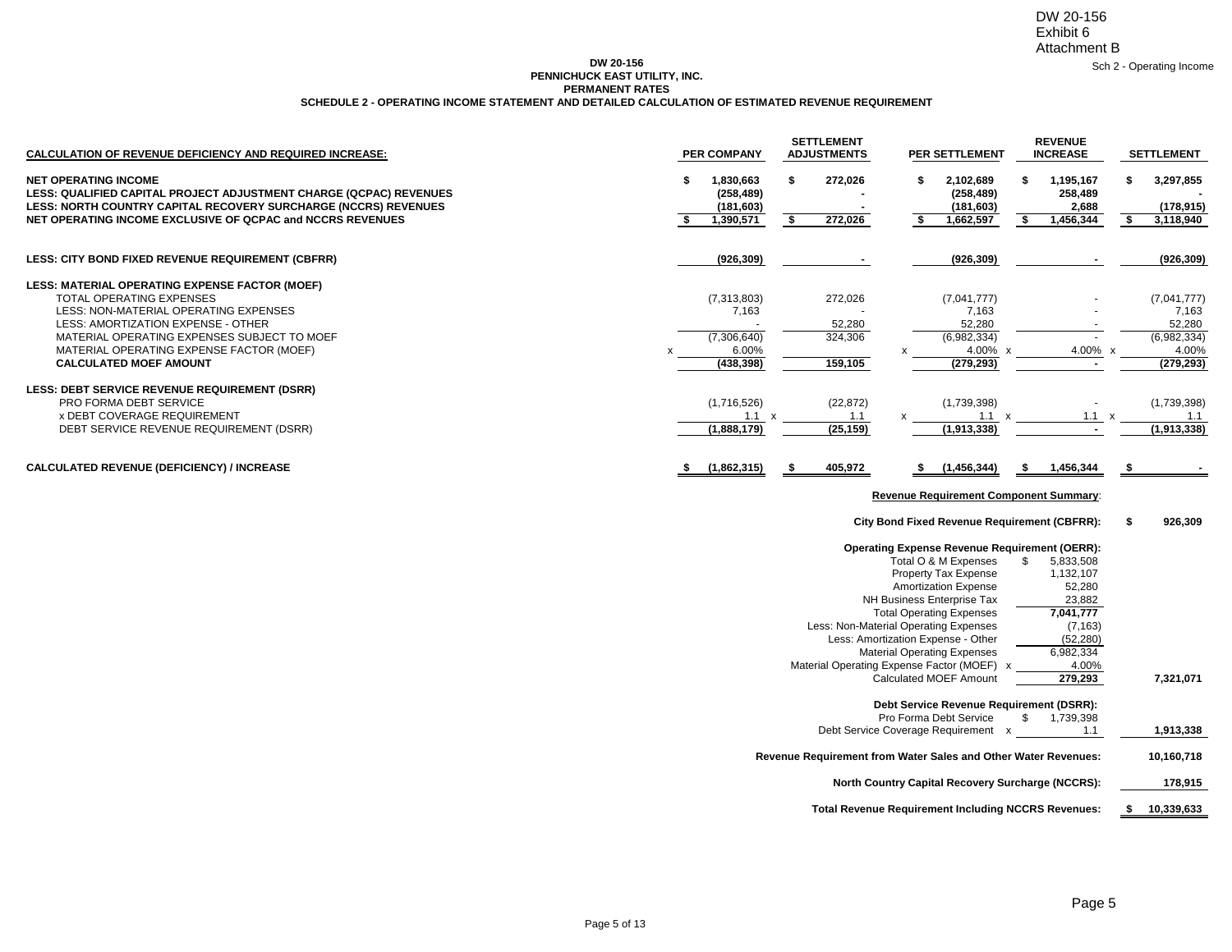DW 20-156 Exhibit 6 Attachment B

Sch 2 - Operating Income

### **DW 20-156 PENNICHUCK EAST UTILITY, INC. SCHEDULE 2 - OPERATING INCOME STATEMENT AND DETAILED CALCULATION OF ESTIMATED REVENUE REQUIREMENT PERMANENT RATES**

| <b>CALCULATION OF REVENUE DEFICIENCY AND REQUIRED INCREASE:</b>                                                                                                                                                                                                                       | <b>PER COMPANY</b>                                              | <b>SETTLEMENT</b><br><b>ADJUSTMENTS</b> | PER SETTLEMENT                                                                                                                                                                                                                                                                                                                                                                                           | <b>REVENUE</b><br><b>INCREASE</b>                                                                                       | <b>SETTLEMENT</b>                                                         |
|---------------------------------------------------------------------------------------------------------------------------------------------------------------------------------------------------------------------------------------------------------------------------------------|-----------------------------------------------------------------|-----------------------------------------|----------------------------------------------------------------------------------------------------------------------------------------------------------------------------------------------------------------------------------------------------------------------------------------------------------------------------------------------------------------------------------------------------------|-------------------------------------------------------------------------------------------------------------------------|---------------------------------------------------------------------------|
| <b>NET OPERATING INCOME</b><br>LESS: QUALIFIED CAPITAL PROJECT ADJUSTMENT CHARGE (QCPAC) REVENUES<br>LESS: NORTH COUNTRY CAPITAL RECOVERY SURCHARGE (NCCRS) REVENUES<br>NET OPERATING INCOME EXCLUSIVE OF QCPAC and NCCRS REVENUES                                                    | 1,830,663<br>\$<br>(258, 489)<br>(181, 603)<br>-\$<br>1,390,571 | \$<br>272,026<br>\$<br>272,026          | \$<br>2,102,689<br>(258, 489)<br>(181, 603)<br>\$<br>1,662,597                                                                                                                                                                                                                                                                                                                                           | \$<br>1,195,167<br>258,489<br>2,688<br>1,456,344<br>\$                                                                  | 3,297,855<br>\$<br>(178, 915)<br>\$<br>3,118,940                          |
| LESS: CITY BOND FIXED REVENUE REQUIREMENT (CBFRR)                                                                                                                                                                                                                                     | (926, 309)                                                      |                                         | (926, 309)                                                                                                                                                                                                                                                                                                                                                                                               |                                                                                                                         | (926, 309)                                                                |
| LESS: MATERIAL OPERATING EXPENSE FACTOR (MOEF)<br>TOTAL OPERATING EXPENSES<br>LESS: NON-MATERIAL OPERATING EXPENSES<br>LESS: AMORTIZATION EXPENSE - OTHER<br>MATERIAL OPERATING EXPENSES SUBJECT TO MOEF<br>MATERIAL OPERATING EXPENSE FACTOR (MOEF)<br><b>CALCULATED MOEF AMOUNT</b> | (7,313,803)<br>7,163<br>(7,306,640)<br>6.00%<br>(438, 398)      | 272,026<br>52,280<br>324,306<br>159,105 | (7,041,777)<br>7,163<br>52,280<br>(6,982,334)<br>4.00%<br>(279, 293)                                                                                                                                                                                                                                                                                                                                     | 4.00%                                                                                                                   | (7,041,777)<br>7,163<br>52,280<br>(6,982,334)<br>4.00%<br>X<br>(279, 293) |
| <b>LESS: DEBT SERVICE REVENUE REQUIREMENT (DSRR)</b><br>PRO FORMA DEBT SERVICE<br><b>x DEBT COVERAGE REQUIREMENT</b><br>DEBT SERVICE REVENUE REQUIREMENT (DSRR)                                                                                                                       | (1,716,526)<br>$1.1 \times$<br>(1,888,179)                      | (22, 872)<br>1.1<br>(25, 159)           | (1,739,398)<br>1.1<br>(1,913,338)                                                                                                                                                                                                                                                                                                                                                                        | $1.1 \times$                                                                                                            | (1,739,398)<br>1.1<br>(1,913,338)                                         |
| CALCULATED REVENUE (DEFICIENCY) / INCREASE                                                                                                                                                                                                                                            | (1,862,315)<br>-\$                                              | \$<br>405,972                           | (1, 456, 344)<br>\$                                                                                                                                                                                                                                                                                                                                                                                      | 1,456,344<br>\$                                                                                                         | -\$                                                                       |
|                                                                                                                                                                                                                                                                                       |                                                                 |                                         |                                                                                                                                                                                                                                                                                                                                                                                                          |                                                                                                                         |                                                                           |
|                                                                                                                                                                                                                                                                                       |                                                                 |                                         | <b>Revenue Requirement Component Summary:</b>                                                                                                                                                                                                                                                                                                                                                            |                                                                                                                         |                                                                           |
|                                                                                                                                                                                                                                                                                       |                                                                 |                                         | <b>City Bond Fixed Revenue Requirement (CBFRR):</b>                                                                                                                                                                                                                                                                                                                                                      |                                                                                                                         | \$<br>926,309                                                             |
|                                                                                                                                                                                                                                                                                       |                                                                 |                                         | <b>Operating Expense Revenue Requirement (OERR):</b><br>Total O & M Expenses<br>Property Tax Expense<br><b>Amortization Expense</b><br>NH Business Enterprise Tax<br><b>Total Operating Expenses</b><br>Less: Non-Material Operating Expenses<br>Less: Amortization Expense - Other<br><b>Material Operating Expenses</b><br>Material Operating Expense Factor (MOEF) x<br><b>Calculated MOEF Amount</b> | \$<br>5,833,508<br>1,132,107<br>52,280<br>23,882<br>7,041,777<br>(7, 163)<br>(52, 280)<br>6,982,334<br>4.00%<br>279,293 | 7,321,071                                                                 |
|                                                                                                                                                                                                                                                                                       |                                                                 |                                         | Debt Service Revenue Requirement (DSRR):                                                                                                                                                                                                                                                                                                                                                                 |                                                                                                                         |                                                                           |
|                                                                                                                                                                                                                                                                                       |                                                                 |                                         | Pro Forma Debt Service<br>Debt Service Coverage Requirement x                                                                                                                                                                                                                                                                                                                                            | \$<br>1,739,398<br>1.1                                                                                                  | 1,913,338                                                                 |
|                                                                                                                                                                                                                                                                                       |                                                                 |                                         | Revenue Requirement from Water Sales and Other Water Revenues:                                                                                                                                                                                                                                                                                                                                           |                                                                                                                         | 10,160,718                                                                |
|                                                                                                                                                                                                                                                                                       |                                                                 |                                         | North Country Capital Recovery Surcharge (NCCRS):                                                                                                                                                                                                                                                                                                                                                        |                                                                                                                         | 178,915                                                                   |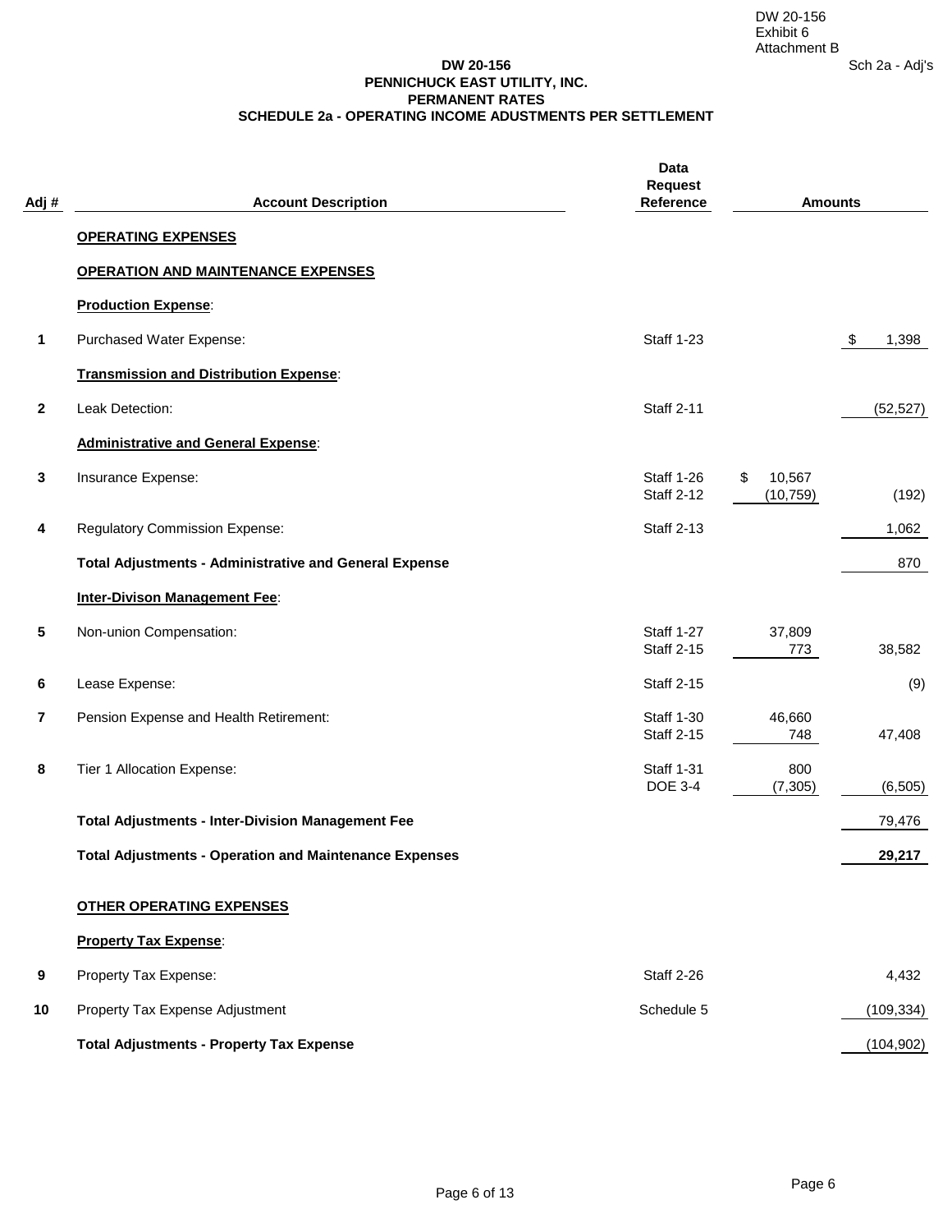## **DW 20-156 PENNICHUCK EAST UTILITY, INC. PERMANENT RATES SCHEDULE 2a - OPERATING INCOME ADUSTMENTS PER SETTLEMENT**

| Adj#             | <b>Account Description</b>                                    | Data<br><b>Request</b><br>Reference    | <b>Amounts</b>            |                        |
|------------------|---------------------------------------------------------------|----------------------------------------|---------------------------|------------------------|
|                  | <b>OPERATING EXPENSES</b>                                     |                                        |                           |                        |
|                  | <b>OPERATION AND MAINTENANCE EXPENSES</b>                     |                                        |                           |                        |
|                  | <b>Production Expense:</b>                                    |                                        |                           |                        |
| 1                | Purchased Water Expense:                                      | <b>Staff 1-23</b>                      |                           | $\sqrt[6]{3}$<br>1,398 |
|                  | <b>Transmission and Distribution Expense:</b>                 |                                        |                           |                        |
| $\boldsymbol{2}$ | Leak Detection:                                               | <b>Staff 2-11</b>                      |                           | (52, 527)              |
|                  | <b>Administrative and General Expense:</b>                    |                                        |                           |                        |
| 3                | Insurance Expense:                                            | <b>Staff 1-26</b><br><b>Staff 2-12</b> | 10,567<br>\$<br>(10, 759) | (192)                  |
| 4                | <b>Regulatory Commission Expense:</b>                         | <b>Staff 2-13</b>                      |                           | 1,062                  |
|                  | <b>Total Adjustments - Administrative and General Expense</b> |                                        |                           | 870                    |
|                  | <b>Inter-Divison Management Fee:</b>                          |                                        |                           |                        |
| 5                | Non-union Compensation:                                       | <b>Staff 1-27</b><br><b>Staff 2-15</b> | 37,809<br>773             | 38,582                 |
| 6                | Lease Expense:                                                | <b>Staff 2-15</b>                      |                           | (9)                    |
| 7                | Pension Expense and Health Retirement:                        | <b>Staff 1-30</b><br><b>Staff 2-15</b> | 46,660<br>748             | 47,408                 |
| 8                | Tier 1 Allocation Expense:                                    | <b>Staff 1-31</b><br><b>DOE 3-4</b>    | 800<br>(7,305)            | (6, 505)               |
|                  | <b>Total Adjustments - Inter-Division Management Fee</b>      |                                        |                           | 79,476                 |
|                  | <b>Total Adjustments - Operation and Maintenance Expenses</b> |                                        |                           | 29,217                 |
|                  | <b>OTHER OPERATING EXPENSES</b>                               |                                        |                           |                        |
|                  | <b>Property Tax Expense:</b>                                  |                                        |                           |                        |
| 9                | Property Tax Expense:                                         | <b>Staff 2-26</b>                      |                           | 4,432                  |
| 10               | Property Tax Expense Adjustment                               | Schedule 5                             |                           | (109, 334)             |
|                  | <b>Total Adjustments - Property Tax Expense</b>               |                                        |                           | (104, 902)             |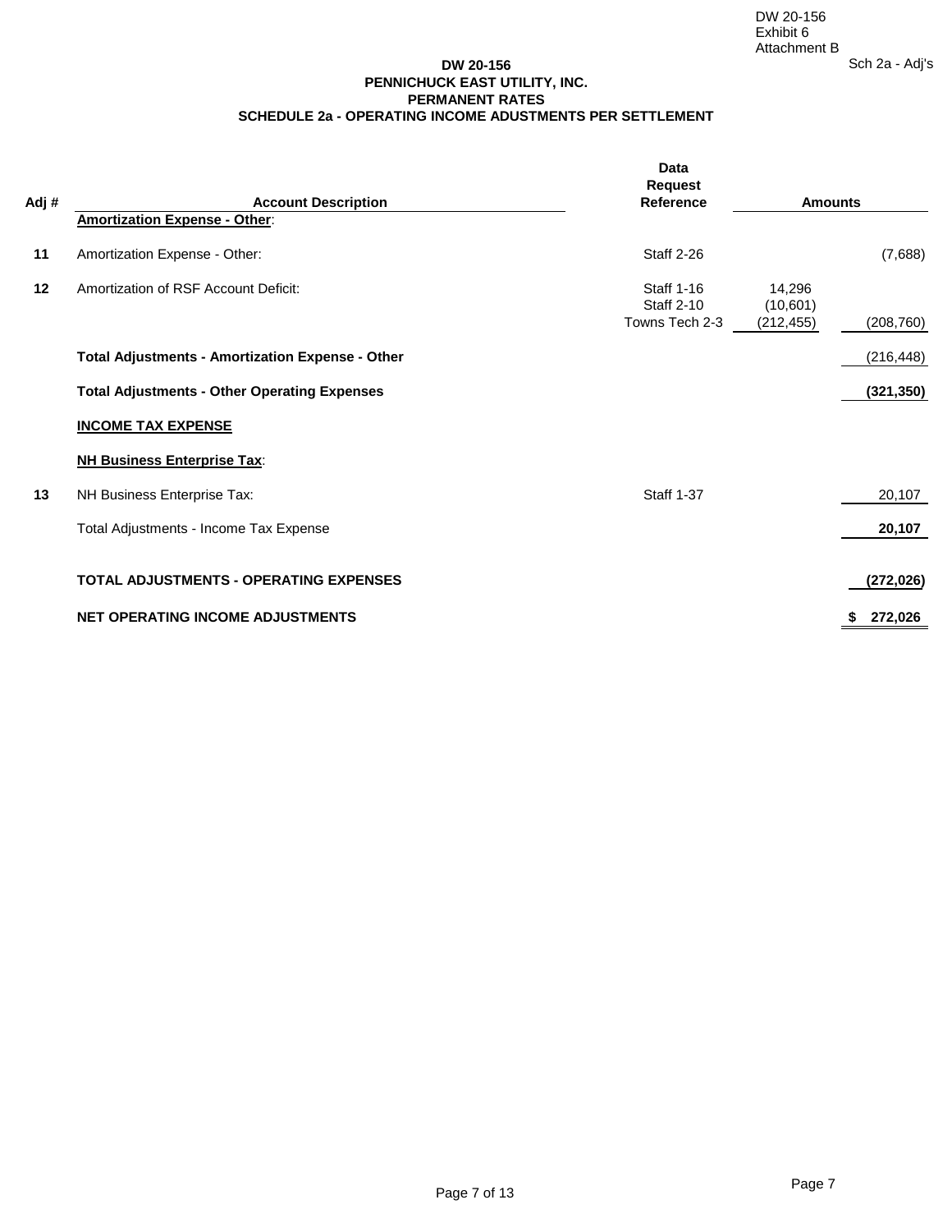## **DW 20-156 PENNICHUCK EAST UTILITY, INC. PERMANENT RATES SCHEDULE 2a - OPERATING INCOME ADUSTMENTS PER SETTLEMENT**

| Adj# | <b>Account Description</b>                              | Data<br><b>Request</b><br><b>Reference</b>               | <b>Amounts</b>                   |               |
|------|---------------------------------------------------------|----------------------------------------------------------|----------------------------------|---------------|
|      | <b>Amortization Expense - Other:</b>                    |                                                          |                                  |               |
| 11   | Amortization Expense - Other:                           | <b>Staff 2-26</b>                                        |                                  | (7,688)       |
| 12   | Amortization of RSF Account Deficit:                    | <b>Staff 1-16</b><br><b>Staff 2-10</b><br>Towns Tech 2-3 | 14,296<br>(10,601)<br>(212, 455) | (208, 760)    |
|      |                                                         |                                                          |                                  |               |
|      | <b>Total Adjustments - Amortization Expense - Other</b> |                                                          |                                  | (216, 448)    |
|      | <b>Total Adjustments - Other Operating Expenses</b>     |                                                          |                                  | (321, 350)    |
|      | <b>INCOME TAX EXPENSE</b>                               |                                                          |                                  |               |
|      | <b>NH Business Enterprise Tax:</b>                      |                                                          |                                  |               |
| 13   | NH Business Enterprise Tax:                             | <b>Staff 1-37</b>                                        |                                  | 20,107        |
|      | Total Adjustments - Income Tax Expense                  |                                                          |                                  | 20,107        |
|      | <b>TOTAL ADJUSTMENTS - OPERATING EXPENSES</b>           |                                                          |                                  | (272, 026)    |
|      | <b>NET OPERATING INCOME ADJUSTMENTS</b>                 |                                                          |                                  | 272,026<br>s. |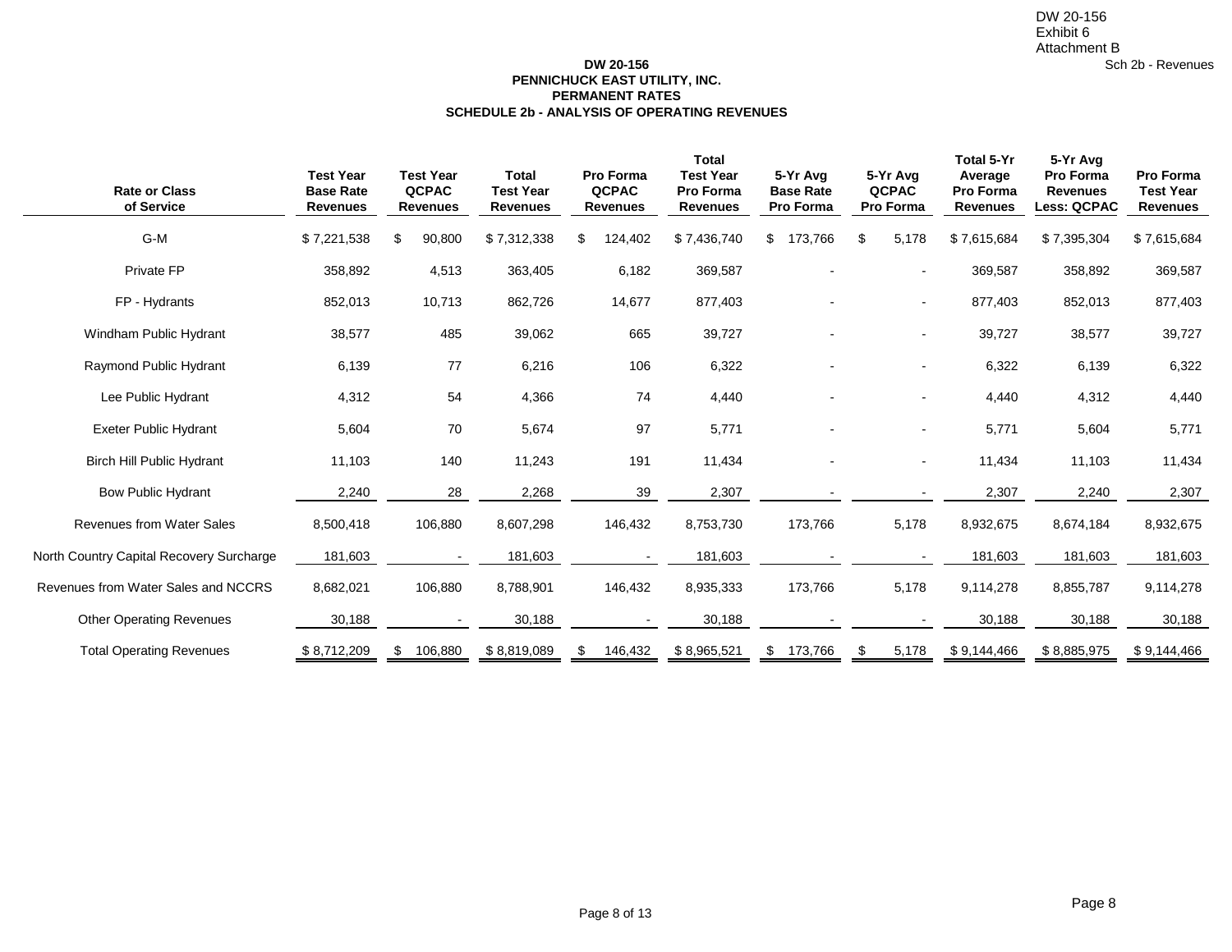## **DW 20-156 PENNICHUCK EAST UTILITY, INC. SCHEDULE 2b - ANALYSIS OF OPERATING REVENUES PERMANENT RATES**

| <b>Rate or Class</b><br>of Service       | <b>Test Year</b><br><b>Base Rate</b><br><b>Revenues</b> | <b>Test Year</b><br><b>QCPAC</b><br><b>Revenues</b> | <b>Total</b><br><b>Test Year</b><br><b>Revenues</b> | <b>Pro Forma</b><br><b>QCPAC</b><br><b>Revenues</b> | <b>Total</b><br><b>Test Year</b><br>Pro Forma<br><b>Revenues</b> | 5-Yr Avg<br><b>Base Rate</b><br>Pro Forma | 5-Yr Avg<br><b>QCPAC</b><br>Pro Forma | Total 5-Yr<br>Average<br><b>Pro Forma</b><br><b>Revenues</b> | 5-Yr Avg<br>Pro Forma<br><b>Revenues</b><br><b>Less: QCPAC</b> | <b>Pro Forma</b><br><b>Test Year</b><br><b>Revenues</b> |
|------------------------------------------|---------------------------------------------------------|-----------------------------------------------------|-----------------------------------------------------|-----------------------------------------------------|------------------------------------------------------------------|-------------------------------------------|---------------------------------------|--------------------------------------------------------------|----------------------------------------------------------------|---------------------------------------------------------|
| G-M                                      | \$7,221,538                                             | 90,800<br>\$                                        | \$7,312,338                                         | \$<br>124,402                                       | \$7,436,740                                                      | 173,766<br>\$                             | \$<br>5,178                           | \$7,615,684                                                  | \$7,395,304                                                    | \$7,615,684                                             |
| Private FP                               | 358,892                                                 | 4,513                                               | 363,405                                             | 6,182                                               | 369,587                                                          |                                           |                                       | 369,587                                                      | 358,892                                                        | 369,587                                                 |
| FP - Hydrants                            | 852,013                                                 | 10,713                                              | 862,726                                             | 14,677                                              | 877,403                                                          |                                           | $\sim$                                | 877,403                                                      | 852,013                                                        | 877,403                                                 |
| Windham Public Hydrant                   | 38,577                                                  | 485                                                 | 39,062                                              | 665                                                 | 39,727                                                           |                                           |                                       | 39,727                                                       | 38,577                                                         | 39,727                                                  |
| Raymond Public Hydrant                   | 6,139                                                   | 77                                                  | 6,216                                               | 106                                                 | 6,322                                                            |                                           |                                       | 6,322                                                        | 6,139                                                          | 6,322                                                   |
| Lee Public Hydrant                       | 4,312                                                   | 54                                                  | 4,366                                               | 74                                                  | 4,440                                                            |                                           |                                       | 4,440                                                        | 4,312                                                          | 4,440                                                   |
| <b>Exeter Public Hydrant</b>             | 5,604                                                   | $70\,$                                              | 5,674                                               | 97                                                  | 5,771                                                            |                                           |                                       | 5,771                                                        | 5,604                                                          | 5,771                                                   |
| <b>Birch Hill Public Hydrant</b>         | 11,103                                                  | 140                                                 | 11,243                                              | 191                                                 | 11,434                                                           |                                           |                                       | 11,434                                                       | 11,103                                                         | 11,434                                                  |
| <b>Bow Public Hydrant</b>                | 2,240                                                   | 28                                                  | 2,268                                               | 39                                                  | 2,307                                                            |                                           |                                       | 2,307                                                        | 2,240                                                          | 2,307                                                   |
| <b>Revenues from Water Sales</b>         | 8,500,418                                               | 106,880                                             | 8,607,298                                           | 146,432                                             | 8,753,730                                                        | 173,766                                   | 5,178                                 | 8,932,675                                                    | 8,674,184                                                      | 8,932,675                                               |
| North Country Capital Recovery Surcharge | 181,603                                                 |                                                     | 181,603                                             |                                                     | 181,603                                                          |                                           |                                       | 181,603                                                      | 181,603                                                        | 181,603                                                 |
| Revenues from Water Sales and NCCRS      | 8,682,021                                               | 106,880                                             | 8,788,901                                           | 146,432                                             | 8,935,333                                                        | 173,766                                   | 5,178                                 | 9,114,278                                                    | 8,855,787                                                      | 9,114,278                                               |
| <b>Other Operating Revenues</b>          | 30,188                                                  |                                                     | 30,188                                              |                                                     | 30,188                                                           |                                           |                                       | 30,188                                                       | 30,188                                                         | 30,188                                                  |
| <b>Total Operating Revenues</b>          | \$8,712,209                                             | 106,880<br>\$                                       | \$8,819,089                                         | 146,432<br>\$                                       | \$8,965,521                                                      | \$173,766                                 | \$<br>5,178                           | \$9,144,466                                                  | \$8,885,975                                                    | \$9,144,466                                             |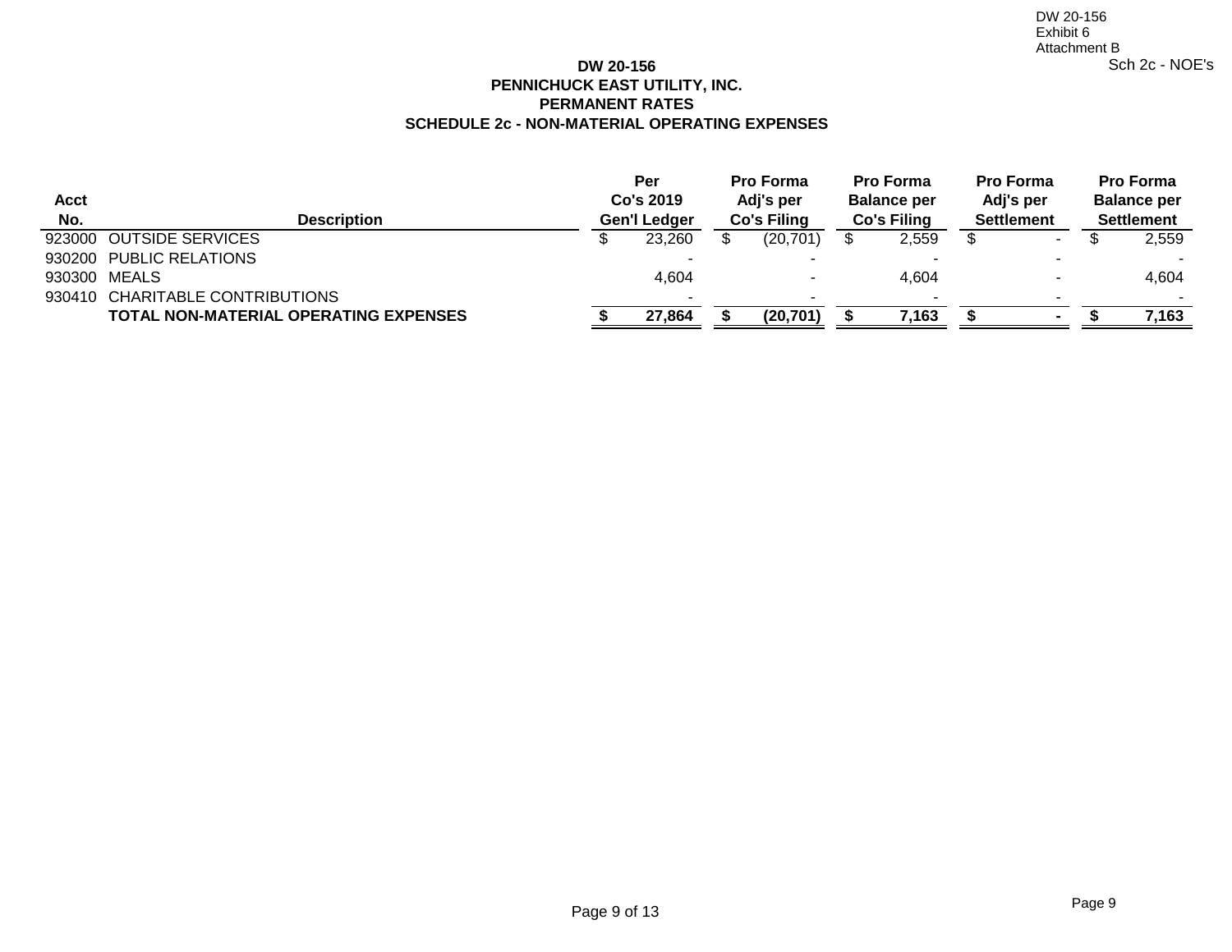# **DW 20-156 PENNICHUCK EAST UTILITY, INC. SCHEDULE 2c - NON-MATERIAL OPERATING EXPENSES PERMANENT RATES**

| Acct<br>No. | <b>Description</b>                           | <b>Per</b><br>Co's 2019<br>Gen'l Ledger | <b>Pro Forma</b><br>Adj's per<br><b>Co's Filing</b> | <b>Pro Forma</b><br><b>Balance per</b><br><b>Co's Filing</b> | <b>Pro Forma</b><br>Adj's per<br><b>Settlement</b> | <b>Pro Forma</b><br><b>Balance per</b><br><b>Settlement</b> |        |  |
|-------------|----------------------------------------------|-----------------------------------------|-----------------------------------------------------|--------------------------------------------------------------|----------------------------------------------------|-------------------------------------------------------------|--------|--|
|             | 923000 OUTSIDE SERVICES                      | 23,260                                  | (20, 701)                                           | 2,559                                                        | $\sim$                                             |                                                             | 2,559  |  |
|             | 930200 PUBLIC RELATIONS                      | -                                       |                                                     |                                                              | . .                                                |                                                             | $\sim$ |  |
|             | 930300 MEALS                                 | 4,604                                   | $\overline{\phantom{a}}$                            | 4,604                                                        |                                                    |                                                             | 4,604  |  |
|             | 930410 CHARITABLE CONTRIBUTIONS              | -                                       |                                                     |                                                              |                                                    |                                                             | $\sim$ |  |
|             | <b>TOTAL NON-MATERIAL OPERATING EXPENSES</b> | 27,864                                  | (20, 701)                                           | 7,163                                                        |                                                    |                                                             | 7,163  |  |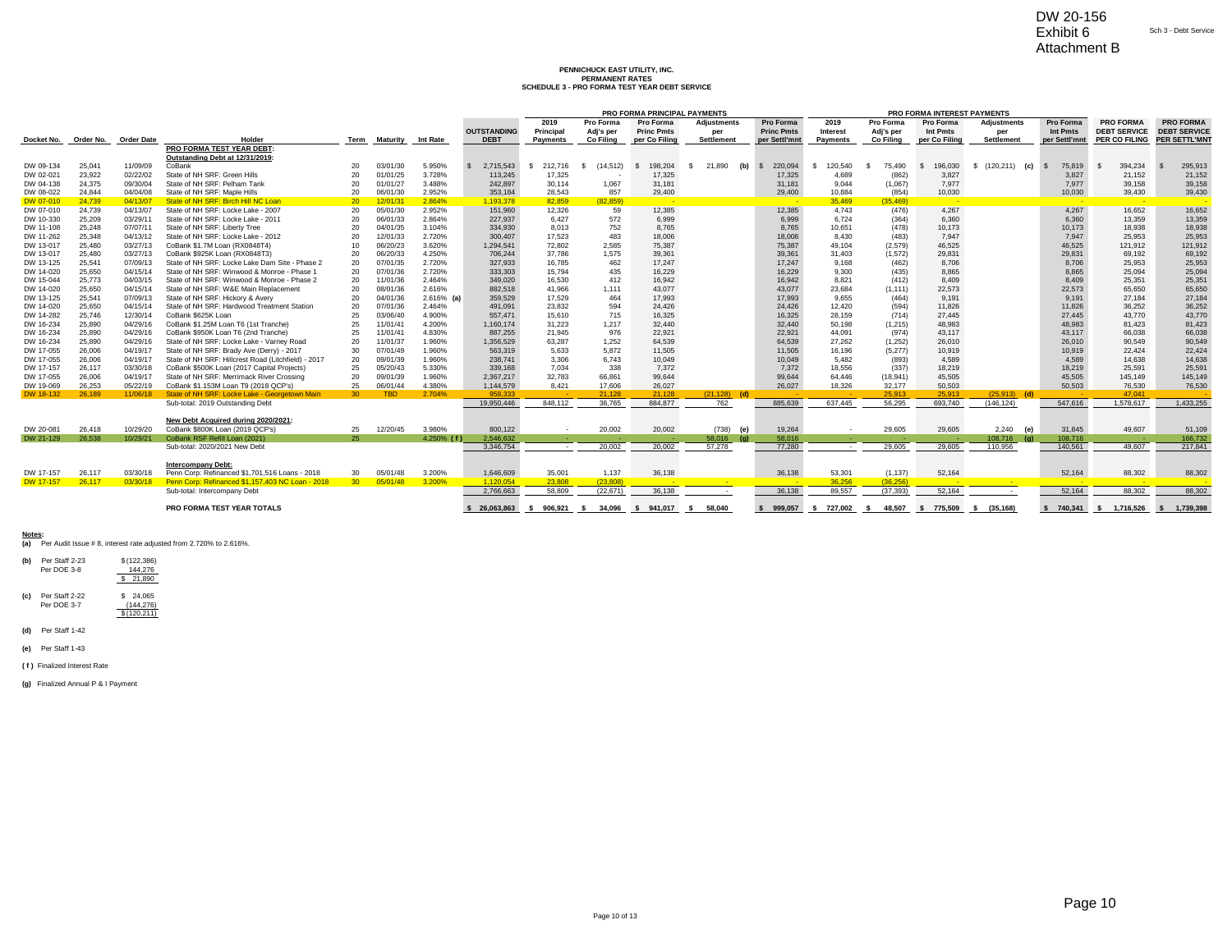### **PENNICHUCK EAST UTILITY, INC.** PERMANENT RATES<br>SCHEDULE 3 - PRO FORMA TEST YEAR DEBT SERVICE

|                        |                  |                      |                                                                                 |                 |                      |                        |                                                  |                                                      |                               |                              |                     |                         |                          |                  | Attachment B                |                   |                    |                         |                       |
|------------------------|------------------|----------------------|---------------------------------------------------------------------------------|-----------------|----------------------|------------------------|--------------------------------------------------|------------------------------------------------------|-------------------------------|------------------------------|---------------------|-------------------------|--------------------------|------------------|-----------------------------|-------------------|--------------------|-------------------------|-----------------------|
|                        |                  |                      |                                                                                 |                 |                      |                        |                                                  |                                                      |                               |                              |                     |                         |                          |                  |                             |                   |                    |                         |                       |
|                        |                  |                      |                                                                                 |                 |                      |                        |                                                  |                                                      | PENNICHUCK EAST UTILITY. INC. |                              |                     |                         |                          |                  |                             |                   |                    |                         |                       |
|                        |                  |                      |                                                                                 |                 |                      |                        |                                                  |                                                      | <b>PERMANENT RATES</b>        |                              |                     |                         |                          |                  |                             |                   |                    |                         |                       |
|                        |                  |                      |                                                                                 |                 |                      |                        |                                                  | <b>SCHEDULE 3 - PRO FORMA TEST YEAR DEBT SERVICE</b> |                               |                              |                     |                         |                          |                  |                             |                   |                    |                         |                       |
|                        |                  |                      |                                                                                 |                 |                      |                        |                                                  |                                                      |                               |                              |                     |                         |                          |                  |                             |                   |                    |                         |                       |
|                        |                  |                      |                                                                                 |                 |                      |                        |                                                  |                                                      |                               | PRO FORMA PRINCIPAL PAYMENTS |                     |                         |                          |                  | PRO FORMA INTEREST PAYMENTS |                   |                    |                         |                       |
|                        |                  |                      |                                                                                 |                 |                      |                        |                                                  | 2019                                                 | Pro Forma                     | <b>Pro Forma</b>             | Adjustments         | Pro Forma               | 2019                     | Pro Forma        | Pro Forma                   | Adjustments       | Pro Forma          | <b>PRO FORMA</b>        | <b>PRO FORMA</b>      |
|                        |                  |                      |                                                                                 |                 |                      |                        | <b>OUTSTANDING</b>                               | Principal                                            | Adj's per                     | <b>Princ Pmts</b>            | per                 | <b>Princ Pmts</b>       | Interest                 | Adj's per        | Int Pmts                    | per               | Int Pmts           | <b>DEBT SERVICE</b>     | <b>DEBT SERVICE</b>   |
| Docket No.             | Order No.        | <b>Order Date</b>    | Holder<br>PRO FORMA TEST YEAR DEBT:                                             | Term            | Maturity             | <b>Int Rate</b>        | <b>DEBT</b>                                      | <b>Payments</b>                                      | Co Filina                     | per Co Filing                | <b>Settlement</b>   | per Settl'mnt           | <b>Payments</b>          | <b>Co Filing</b> | per Co Filing               | <b>Settlement</b> | per Settl'mnt      | <b>PER CO FILING</b>    | <b>PER SETTL'MN</b>   |
|                        |                  |                      | Outstanding Debt at 12/31/2019:                                                 |                 |                      |                        |                                                  |                                                      |                               |                              |                     |                         |                          |                  |                             |                   |                    |                         |                       |
| DW 09-134              | 25.041           | 11/09/09             | CoBank                                                                          | 20              | 03/01/30             | 5.950%                 | 2,715,543<br>$\mathbf{s}$                        | 212,716<br>-S                                        | (14, 512)<br>$\mathcal{S}$    | 198.204<br><b>S</b>          | (b)<br>s.<br>21.890 | $\mathbf{s}$<br>220.094 | 120.540<br>-S            | 75.490<br>-S     | 196,030                     | $$(120.211)$ (c)  | <b>S</b><br>75,819 | 394.234                 | 295,913               |
| DW 02-021              | 23,922           | 02/22/02             | State of NH SRF: Green Hills                                                    | 20              | 01/01/25             | 3.728%                 | 113,245                                          | 17,325                                               |                               | 17,325                       |                     | 17,325                  | 4.689                    | (862)            | 3,827                       |                   | 3.827              | 21,152                  | 21,152                |
| DW 04-138              | 24,375           | 09/30/04             | State of NH SRF: Pelham Tank                                                    | 20              | 01/01/27             | 3.488%                 | 242,897                                          | 30,114                                               | 1,067                         | 31,181                       |                     | 31,181                  | 9,044                    | (1,067)          | 7,977                       |                   | 7,977              | 39,158                  | 39,158                |
| DW 08-022              | 24.844           | 04/04/08             | State of NH SRF: Maple Hills                                                    | 20              | 06/01/30             | 2.952%                 | 353,184                                          | 28.543                                               | 857                           | 29,400                       |                     | 29,400                  | 10.884                   | (854)            | 10,030                      |                   | 10,030             | 39,430                  | 39,430                |
| DW 07-010              | 24,739           | 04/13/07             | State of NH SRF: Birch Hill NC Loan                                             | 20              | 12/01/3              | 2.864%                 | 1,193,378                                        | 82.859                                               | (82.859)                      |                              |                     |                         | 35,469                   | (35.469)         | - 2                         |                   | - 2                |                         |                       |
| DW 07-010              | 24,739           | 04/13/07             | State of NH SRF: Locke Lake - 2007                                              | 20              | 05/01/30             | 2.952%                 | 151,960                                          | 12,326                                               | 59                            | 12,385                       |                     | 12,385                  | 4,743                    | (476)            | 4,267                       |                   | 4,267              | 16,652                  | 16,652                |
| DW 10-330              | 25.209           | 03/29/11             | State of NH SRF: Locke Lake - 2011                                              | 20              | 06/01/33             | 2.864%                 | 227,937                                          | 6.427                                                | 572                           | 6.999                        |                     | 6.999                   | 6.724                    | (364)            | 6,360                       |                   | 6.360              | 13.359                  | 13,359                |
| DW 11-108              | 25.248           | 07/07/11             | State of NH SRF: Liberty Tree                                                   | 20              | 04/01/35             | 3.104%                 | 334,930                                          | 8.013                                                | 752                           | 8.765                        |                     | 8.765                   | 10.651                   | (478)            | 10.173                      |                   | 10.173             | 18,938                  | 18,938                |
| DW 11-262              | 25,348           | 04/13/12             | State of NH SRF: Locke Lake - 2012                                              | 20              | 12/01/33             | 2.720%                 | 300,407                                          | 17,523                                               | 483                           | 18,006                       |                     | 18,006                  | 8.430                    | (483)            | 7,947                       |                   | 7.947              | 25,953                  | 25,953                |
| DW 13-017              | 25,480           | 03/27/13             | CoBank \$1.7M Loan (RX0848T4)                                                   | 10 <sup>1</sup> | 06/20/23             | 3.620%                 | 1,294,541                                        | 72,802                                               | 2,585                         | 75,387                       |                     | 75,387                  | 49,104                   | (2, 579)         | 46,525                      |                   | 46,525             | 121,912                 | 121,912               |
| DW 13-017              | 25.480           | 03/27/13             | CoBank \$925K Loan (RX0848T3)                                                   | 20              | 06/20/33             | 4.250%                 | 706,244                                          | 37,786                                               | 1.575                         | 39,361                       |                     | 39,361                  | 31.403                   | (1, 572)         | 29.831                      |                   | 29.831             | 69.192                  | 69,192                |
| DW 13-125              | 25.541           | 07/09/13             | State of NH SRF: Locke Lake Dam Site - Phase 2                                  | 20              | 07/01/35             | 2.720%                 | 327,933                                          | 16.785                                               | 462                           | 17.247                       |                     | 17.247                  | 9.168                    | (462)            | 8.706                       |                   | 8.706              | 25.953                  | 25,953                |
| DW 14-020              | 25,650           | 04/15/14             | State of NH SRF: Winwood & Monroe - Phase 1                                     | 20              | 07/01/36             | 2.720%                 | 333,303                                          | 15,794                                               | 435                           | 16,229                       |                     | 16,229                  | 9,300                    | (435)            | 8,865                       |                   | 8,865              | 25,094                  | 25,094                |
| DW 15-044              | 25.773           | 04/03/15             | State of NH SRF: Winwood & Monroe - Phase 2                                     | 20              | 11/01/36             | 2.464%                 | 349,020                                          | 16.530                                               | 412                           | 16.942                       |                     | 16,942                  | 8.821                    | (412)            | 8.409                       |                   | 8.409              | 25.351                  | 25,351                |
| DW 14-020              | 25,650           | 04/15/14             | State of NH SRF: W&E Main Replacement                                           | 20              | 08/01/36             | 2.616%                 | 882,518                                          | 41.966                                               | 1.111                         | 43,077                       |                     | 43,077                  | 23,684                   | (1, 111)         | 22,573                      |                   | 22,573             | 65,650                  | 65,650                |
| DW 13-125<br>DW 14-020 | 25.541<br>25,650 | 07/09/13<br>04/15/14 | State of NH SRF: Hickory & Avery<br>State of NH SRF: Hardwood Treatment Station | 20<br>20        | 04/01/36<br>07/01/36 | $2.616%$ (a)<br>2.464% | 359,529<br>491,091                               | 17,529<br>23,832                                     | 464<br>594                    | 17,993                       |                     | 17,993<br>24,426        | 9.655<br>12.420          | (464)<br>(594)   | 9.191<br>11,826             |                   | 9.191<br>11,826    | 27.184<br>36,252        | 27,184<br>36,252      |
| DW 14-282              | 25.746           | 12/30/14             | CoBank \$625K Loan                                                              | 25              | 03/06/40             | 4.900%                 | 557,471                                          | 15,610                                               | 715                           | 24,426<br>16,325             |                     | 16,325                  | 28,159                   | (714)            | 27,445                      |                   | 27,445             | 43,770                  | 43,770                |
| DW 16-234              | 25.890           | 04/29/16             | CoBank \$1,25M Loan T6 (1st Tranche)                                            | 25              | 11/01/41             | 4.200%                 | 1,160,174                                        | 31,223                                               | 1,217                         | 32.440                       |                     | 32,440                  | 50.198                   | (1, 215)         | 48.983                      |                   | 48.983             | 81.423                  | 81,423                |
| DW 16-234              | 25.890           | 04/29/16             | CoBank \$950K Loan T6 (2nd Tranche)                                             | 25              | 11/01/41             | 4.830%                 | 887,255                                          | 21.945                                               | 976                           | 22,921                       |                     | 22,921                  | 44.091                   | (974)            | 43.117                      |                   | 43.117             | 66.038                  | 66,038                |
| DW 16-234              | 25,890           | 04/29/16             | State of NH SRF: Locke Lake - Varney Road                                       | 20              | 11/01/37             | 1.960%                 | 1,356,529                                        | 63,287                                               | 1,252                         | 64,539                       |                     | 64,539                  | 27,262                   | (1, 252)         | 26,010                      |                   | 26,010             | 90,549                  | 90,549                |
| DW 17-055              | 26.006           | 04/19/17             | State of NH SRF: Brady Ave (Derry) - 2017                                       | 30              | 07/01/49             | 1.960%                 | 563.319                                          | 5.633                                                | 5.872                         | 11.505                       |                     | 11.505                  | 16,196                   | (5.277)          | 10.919                      |                   | 10.919             | 22.424                  | 22,424                |
| DW 17-055              | 26,006           | 04/19/17             | State of NH SRF: Hillcrest Road (Litchfield) - 2017                             | 20              | 09/01/39             | 1.960%                 | 238,741                                          | 3.306                                                | 6.743                         | 10,049                       |                     | 10.049                  | 5.482                    | (893)            | 4.589                       |                   | 4.589              | 14.638                  | 14,638                |
| DW 17-157              | 26,117           | 03/30/18             | CoBank \$500K Loan (2017 Capital Projects)                                      | 25              | 05/20/43             | 5.330%                 | 339,168                                          | 7,034                                                | 338                           | 7,372                        |                     | 7,372                   | 18,556                   | (337)            | 18,219                      |                   | 18,219             | 25,591                  | 25,591                |
| DW 17-055              | 26,006           | 04/19/17             | State of NH SRF: Merrimack River Crossing                                       | 20              | 09/01/39             | 1.960%                 | 2,367,217                                        | 32,783                                               | 66,861                        | 99,644                       |                     | 99,644                  | 64,446                   | (18, 941)        | 45,505                      |                   | 45,505             | 145,149                 | 145,149               |
| DW 19-069              | 26.253           | 05/22/19             | CoBank \$1.153M Loan T9 (2018 QCP's)                                            | 25              | 06/01/44             | 4.380%                 | 1,144,579                                        | 8,421                                                | 17,606                        | 26,027                       |                     | 26,027                  | 18,326                   | 32,177           | 50,503                      |                   | 50.503             | 76,530                  | 76,530                |
| DW 18-132              | 26,189           | 11/06/18             | State of NH SRF: Locke Lake - Georgetown Main                                   | 30 <sup>°</sup> | <b>TBD</b>           | 2.704%                 | 958.333                                          |                                                      | 21.128                        | 21.128                       | (21, 128)<br>(d)    |                         |                          | 25,913           | 25,913                      | (25, 913)<br>(d)  |                    | 47.041                  |                       |
|                        |                  |                      | Sub-total: 2019 Outstanding Debt                                                |                 |                      |                        | 19,950,446                                       | 848.112                                              | 36,765                        | 884,877                      | 762                 | 885,639                 | 637.445                  | 56,295           | 693.740                     | (146, 124)        | 547,616            | 1,578,617               | 1,433,255             |
|                        |                  |                      |                                                                                 |                 |                      |                        |                                                  |                                                      |                               |                              |                     |                         |                          |                  |                             |                   |                    |                         |                       |
|                        |                  |                      | New Debt Acquired during 2020/2021                                              |                 |                      |                        |                                                  |                                                      |                               |                              |                     |                         |                          |                  |                             |                   |                    |                         |                       |
| DW 20-081              | 26,418           | 10/29/20             | CoBank \$800K Loan (2019 QCP's)                                                 | 25              | 12/20/45             | 3.980%                 | 800,122                                          | $\sim$                                               | 20,002                        | 20,002                       | $(738)$ (e)         | 19,264                  |                          | 29,605           | 29,605                      | 2,240<br>(e)      | 31,845             | 49,607                  | 51,109                |
| DW 21-129              | 26,538           | 10/29/21             | CoBank RSF Refill Loan (2021)                                                   | 25              |                      | $4.250\%$ (f)          | 2.546.632                                        |                                                      |                               |                              | 58,016<br>(a)       | 58,016                  |                          |                  |                             | 108.716<br>(a)    | 108,716            |                         | 166,732               |
|                        |                  |                      | Sub-total: 2020/2021 New Debt                                                   |                 |                      |                        | 3.346.754                                        | $\sim$                                               | 20,002                        | 20,002                       | 57,278              | 77,280                  | $\sim$                   | 29,605           | 29,605                      | 110.956           | 140.561            | 49.607                  | 217,841               |
|                        |                  |                      |                                                                                 |                 |                      |                        |                                                  |                                                      |                               |                              |                     |                         |                          |                  |                             |                   |                    |                         |                       |
| DW 17-157              | 26,117           | 03/30/18             | <b>Intercompany Debt:</b><br>Penn Corp: Refinanced \$1,701,516 Loans - 2018     | 30              | 05/01/48             | 3.200%                 | 1,646,609                                        | 35,001                                               | 1,137                         | 36,138                       |                     | 36,138                  | 53,301                   | (1, 137)         | 52,164                      |                   | 52,164             | 88,302                  | 88,302                |
| DW 17-157              | 26,117           | 03/30/18             | Penn Corp: Refinanced \$1,157,403 NC Loan - 2018                                | 30 <sup>°</sup> | 05/01/48             | 3.200%                 | 1.120.054                                        | 23.808                                               | (23.808)                      |                              | <b>Contract</b>     |                         | 36.256                   | (36.256)         |                             |                   |                    |                         |                       |
|                        |                  |                      | Sub-total: Intercompany Debt                                                    |                 |                      |                        | 2.766.663                                        | 58,809                                               | (22.671)                      | 36.138                       | $\sim$              | 36,138                  | 89.557                   | (37.393)         | 52.164                      |                   | 52,164             | 88,302                  | 88,302                |
|                        |                  |                      |                                                                                 |                 |                      |                        |                                                  |                                                      |                               |                              |                     |                         |                          |                  |                             |                   |                    |                         |                       |
|                        |                  |                      | <b>PRO FORMA TEST YEAR TOTALS</b>                                               |                 |                      |                        | \$ 26.063.863 \$ 906.921 \$ 34.096 \$ 941.017 \$ |                                                      |                               |                              | 58.040              |                         | \$ 999.057 \$ 727.002 \$ | 48.507           | \$ 775.509 \$ (35.168)      |                   |                    | \$ 740.341 \$ 1.716.526 | 1.739.398<br><b>S</b> |

## **Notes: (a)** Per Audit Issue # 8, interest rate adjusted from 2.720% to 2.616%.



**(c)** Per Staff 2-22 \$ 24,065 Per DOE 3-7 (144,276)  $$ 24,065$ <br> $(144,276)$ <br> $$ (120,211)$ 

**(d)** Per Staff 1-42

**(e)** Per Staff 1-43

**( f )** Finalized Interest Rate

**(g)** Finalized Annual P & I Payment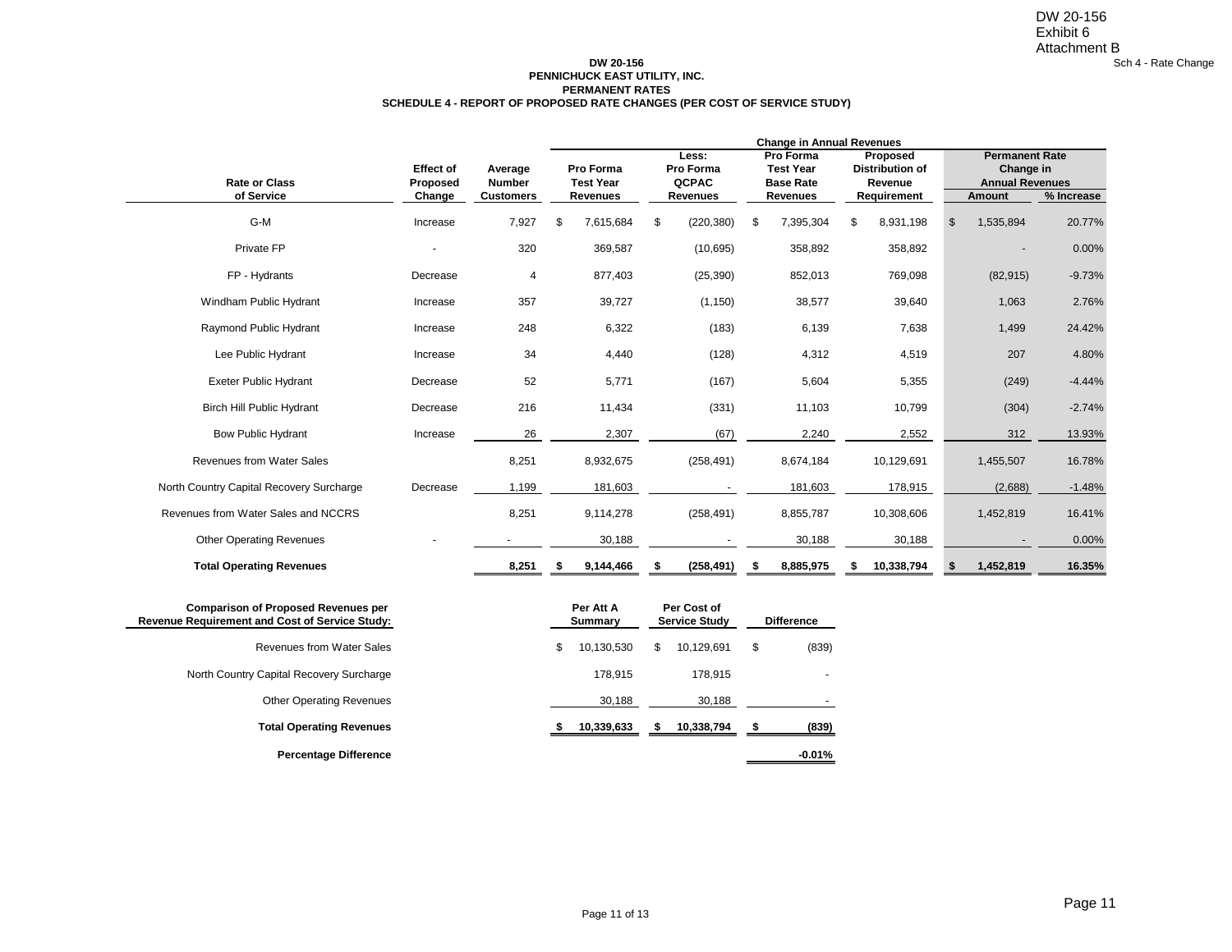#### **PERMANENT RATES DW 20-156 PENNICHUCK EAST UTILITY, INC. SCHEDULE 4 - REPORT OF PROPOSED RATE CHANGES (PER COST OF SERVICE STUDY)**

|                                                                                              |                  |                  | <b>Change in Annual Revenues</b><br><b>Permanent Rate</b> |                             |    |                                     |    |                               |    |                                    |    |                        |            |  |  |  |
|----------------------------------------------------------------------------------------------|------------------|------------------|-----------------------------------------------------------|-----------------------------|----|-------------------------------------|----|-------------------------------|----|------------------------------------|----|------------------------|------------|--|--|--|
|                                                                                              | <b>Effect of</b> | Average          |                                                           | Pro Forma                   |    | Less:<br>Pro Forma                  |    | Pro Forma<br><b>Test Year</b> |    | Proposed<br><b>Distribution of</b> |    | Change in              |            |  |  |  |
| <b>Rate or Class</b>                                                                         | Proposed         | <b>Number</b>    |                                                           | <b>Test Year</b>            |    | QCPAC                               |    | <b>Base Rate</b>              |    | Revenue                            |    | <b>Annual Revenues</b> |            |  |  |  |
| of Service                                                                                   | Change           | <b>Customers</b> |                                                           | Revenues                    |    | <b>Revenues</b>                     |    | <b>Revenues</b>               |    | Requirement                        |    | Amount                 | % Increase |  |  |  |
| G-M                                                                                          | Increase         | 7,927            | \$                                                        | 7,615,684                   | \$ | (220, 380)                          | \$ | 7,395,304                     | \$ | 8,931,198                          | \$ | 1,535,894              | 20.77%     |  |  |  |
| Private FP                                                                                   | 320              |                  |                                                           | 369,587                     |    | (10, 695)                           |    | 358,892                       |    | 358,892                            |    |                        | 0.00%      |  |  |  |
| FP - Hydrants                                                                                | Decrease         |                  |                                                           | 877,403                     |    | (25, 390)                           |    | 852,013                       |    | 769,098                            |    | (82, 915)              | $-9.73%$   |  |  |  |
| Windham Public Hydrant                                                                       | Increase         | 357              |                                                           | 39,727                      |    | (1, 150)                            |    | 38,577                        |    | 39,640                             |    | 1,063                  | 2.76%      |  |  |  |
| Raymond Public Hydrant                                                                       | Increase         | 248              |                                                           | 6,322                       |    | (183)                               |    | 6,139                         |    | 7,638                              |    | 1,499                  | 24.42%     |  |  |  |
| Lee Public Hydrant                                                                           | Increase         | 34               |                                                           | 4,440                       |    | (128)                               |    | 4,312                         |    | 4,519                              |    | 207                    | 4.80%      |  |  |  |
| <b>Exeter Public Hydrant</b>                                                                 | Decrease         | 52               |                                                           | 5,771                       |    | (167)                               |    | 5,604                         |    | 5,355                              |    | (249)                  | $-4.44%$   |  |  |  |
| <b>Birch Hill Public Hydrant</b>                                                             | Decrease         | 216              |                                                           | 11,434                      |    | (331)                               |    | 11,103                        |    | 10,799                             |    | (304)                  | $-2.74%$   |  |  |  |
| <b>Bow Public Hydrant</b>                                                                    | Increase         | 26               |                                                           | 2,307                       |    | (67)                                |    | 2,240                         |    | 2,552                              |    | 312                    | 13.93%     |  |  |  |
| <b>Revenues from Water Sales</b>                                                             |                  | 8,251            |                                                           | 8,932,675                   |    | (258, 491)                          |    | 8,674,184                     |    | 10,129,691                         |    | 1,455,507              | 16.78%     |  |  |  |
| North Country Capital Recovery Surcharge                                                     | Decrease         | 1,199            |                                                           | 181,603                     |    |                                     |    | 181,603                       |    | 178,915                            |    | (2,688)                | $-1.48%$   |  |  |  |
| Revenues from Water Sales and NCCRS                                                          |                  | 8,251            |                                                           | 9,114,278                   |    | (258, 491)                          |    | 8,855,787                     |    | 10,308,606                         |    | 1,452,819              | 16.41%     |  |  |  |
| <b>Other Operating Revenues</b>                                                              |                  |                  |                                                           | 30,188                      |    |                                     |    | 30,188                        |    | 30,188                             |    |                        | 0.00%      |  |  |  |
| <b>Total Operating Revenues</b>                                                              |                  | 8,251            | \$                                                        | 9,144,466                   | -5 | (258, 491)                          |    | 8,885,975                     | \$ | 10,338,794                         | s. | 1,452,819              | 16.35%     |  |  |  |
| <b>Comparison of Proposed Revenues per</b><br>Revenue Requirement and Cost of Service Study: |                  |                  |                                                           | Per Att A<br><b>Summary</b> |    | Per Cost of<br><b>Service Study</b> |    | <b>Difference</b>             |    |                                    |    |                        |            |  |  |  |
| Revenues from Water Sales                                                                    |                  |                  | \$                                                        | 10,130,530                  | \$ | 10,129,691                          | \$ | (839)                         |    |                                    |    |                        |            |  |  |  |
| North Country Capital Recovery Surcharge                                                     |                  |                  |                                                           | 178,915                     |    | 178,915                             |    |                               |    |                                    |    |                        |            |  |  |  |
| <b>Other Operating Revenues</b>                                                              |                  |                  |                                                           | 30,188                      |    | 30,188                              |    |                               |    |                                    |    |                        |            |  |  |  |

**Percentage Difference -0.01%**

Page 11 of 13

**Total Operating Revenues \$ 10,339,633 \$ 10,338,794 \$ (839)**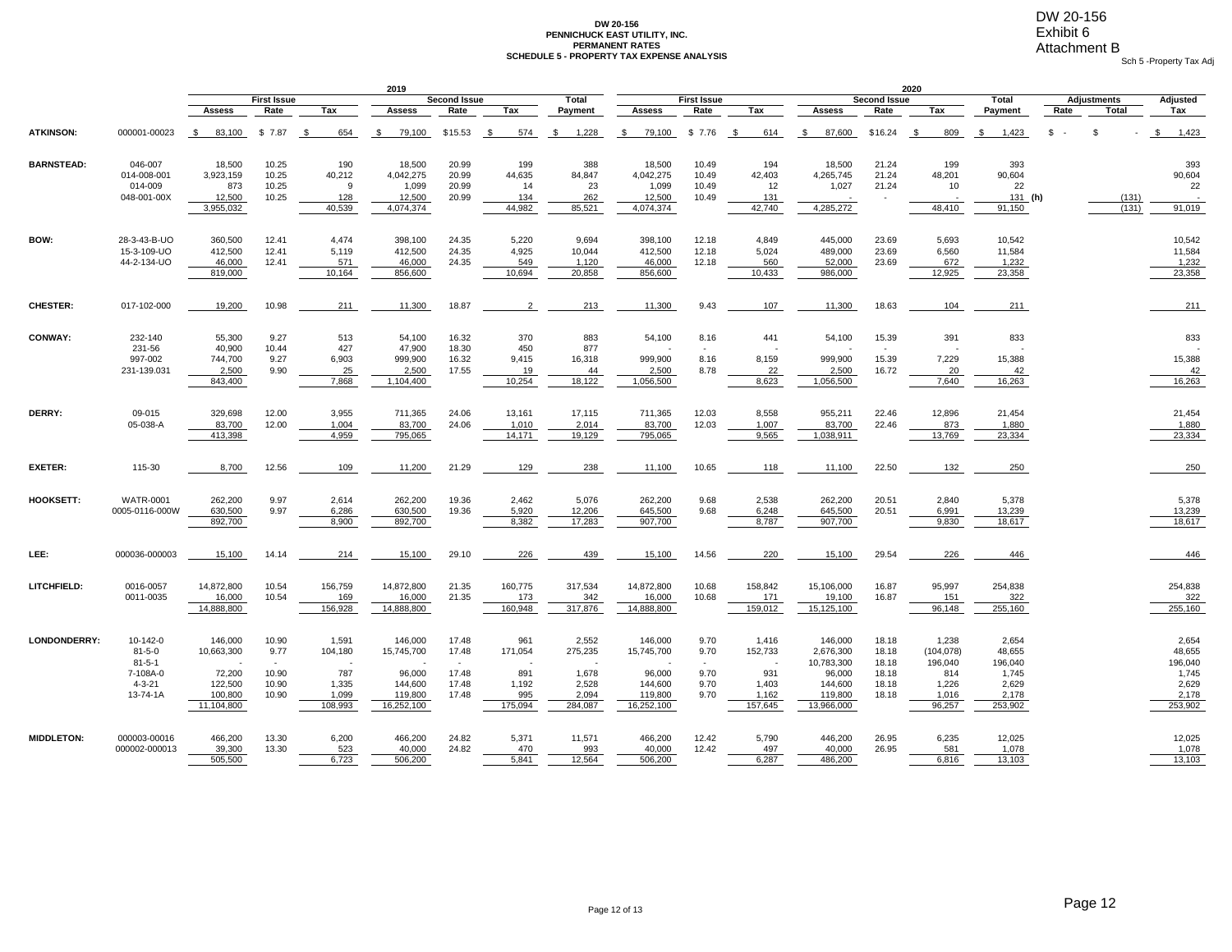## DW 20-156 Exhibit 6

### **PERMANENT RATES DW 20-156 PENNICHUCK EAST UTILITY, INC. SCHEDULE 5 - PROPERTY TAX EXPENSE ANALYSIS**

Sch 5 -Property Tax Adj Attachment B

|                   |                                                                                  |                                                                     |                                                    |                                                      | 2019                                                                |                                           |                                                  |                                                        |                                                                     |                                      |                                                      |                                                                                  | 2020                                               |                                                                   |                                                                  |          |                    |                                                                  |
|-------------------|----------------------------------------------------------------------------------|---------------------------------------------------------------------|----------------------------------------------------|------------------------------------------------------|---------------------------------------------------------------------|-------------------------------------------|--------------------------------------------------|--------------------------------------------------------|---------------------------------------------------------------------|--------------------------------------|------------------------------------------------------|----------------------------------------------------------------------------------|----------------------------------------------------|-------------------------------------------------------------------|------------------------------------------------------------------|----------|--------------------|------------------------------------------------------------------|
|                   |                                                                                  |                                                                     | <b>First Issue</b>                                 |                                                      |                                                                     | <b>Second Issue</b>                       |                                                  | <b>Total</b>                                           |                                                                     | <b>First Issue</b>                   |                                                      |                                                                                  | <b>Second Issue</b>                                |                                                                   | <b>Total</b>                                                     |          | <b>Adjustments</b> | Adjusted                                                         |
|                   |                                                                                  | <b>Assess</b>                                                       | Rate                                               | Tax                                                  | Assess                                                              | Rate                                      | Tax                                              | Payment                                                | <b>Assess</b>                                                       | Rate                                 | Tax                                                  | <b>Assess</b>                                                                    | Rate                                               | Tax                                                               | Payment                                                          | Rate     | Total              | Tax                                                              |
| <b>ATKINSON:</b>  | 000001-00023                                                                     | 83,100<br>\$                                                        | \$7.87                                             | - \$<br>654                                          | 79,100<br>-\$                                                       | \$15.53                                   | - \$<br>574                                      | 1,228<br>- \$                                          | 79,100<br>- \$                                                      | \$7.76                               | 614<br>$\mathbb{S}$                                  | 87,600<br>- \$                                                                   | \$16.24                                            | 809<br>- \$                                                       | 1,423<br>\$                                                      | <b>S</b> | S                  | \$<br>1,423                                                      |
| <b>BARNSTEAD:</b> | 046-007<br>014-008-001<br>014-009<br>048-001-00X                                 | 18,500<br>3,923,159<br>873<br>12,500<br>3,955,032                   | 10.25<br>10.25<br>10.25<br>10.25                   | 190<br>40,212<br>9<br>128<br>40,539                  | 18,500<br>4,042,275<br>1,099<br>12,500<br>4,074,374                 | 20.99<br>20.99<br>20.99<br>20.99          | 199<br>44,635<br>14<br>134<br>44,982             | 388<br>84,847<br>23<br>262<br>85,521                   | 18,500<br>4,042,275<br>1,099<br>12,500<br>4,074,374                 | 10.49<br>10.49<br>10.49<br>10.49     | 194<br>42,403<br>12<br>131<br>42,740                 | 18,500<br>4,265,745<br>1,027<br>4,285,272                                        | 21.24<br>21.24<br>21.24                            | 199<br>48,201<br>10<br>48,410                                     | 393<br>90,604<br>22<br>131 (h)<br>91,150                         |          | (131)<br>(131)     | 393<br>90,604<br>22<br>91,019                                    |
| BOW:              | 28-3-43-B-UO<br>15-3-109-UO<br>44-2-134-UO                                       | 360,500<br>412,500<br>46,000<br>819,000                             | 12.41<br>12.41<br>12.41                            | 4,474<br>5,119<br>571<br>10,164                      | 398,100<br>412,500<br>46,000<br>856,600                             | 24.35<br>24.35<br>24.35                   | 5,220<br>4,925<br>549<br>10,694                  | 9,694<br>10,044<br>1,120<br>20,858                     | 398,100<br>412,500<br>46,000<br>856,600                             | 12.18<br>12.18<br>12.18              | 4,849<br>5,024<br>560<br>10,433                      | 445,000<br>489,000<br>52,000<br>986,000                                          | 23.69<br>23.69<br>23.69                            | 5,693<br>6,560<br>672<br>12,925                                   | 10,542<br>11,584<br>1,232<br>23,358                              |          |                    | 10,542<br>11,584<br>1,232<br>23,358                              |
| <b>CHESTER:</b>   | 017-102-000                                                                      | 19,200                                                              | 10.98                                              | 211                                                  | 11,300                                                              | 18.87                                     | $\overline{2}$                                   | 213                                                    | 11,300                                                              | 9.43                                 | 107                                                  | 11,300                                                                           | 18.63                                              | 104                                                               | 211                                                              |          |                    | 211                                                              |
| <b>CONWAY:</b>    | 232-140<br>231-56<br>997-002<br>231-139.031                                      | 55,300<br>40,900<br>744,700<br>2.500<br>843,400                     | 9.27<br>10.44<br>9.27<br>9.90                      | 513<br>427<br>6,903<br>25<br>7,868                   | 54,100<br>47,900<br>999,900<br>2,500<br>1,104,400                   | 16.32<br>18.30<br>16.32<br>17.55          | 370<br>450<br>9,415<br>19<br>10,254              | 883<br>877<br>16,318<br>44<br>18,122                   | 54,100<br>999,900<br>2.500<br>1,056,500                             | 8.16<br>8.16<br>8.78                 | 441<br>8,159<br>22<br>8,623                          | 54,100<br>999,900<br>2.500<br>1.056.500                                          | 15.39<br>15.39<br>16.72                            | 391<br>7,229<br>20<br>7,640                                       | 833<br>15,388<br>42<br>16,263                                    |          |                    | 833<br>15,388<br>42<br>16,263                                    |
| DERRY:            | 09-015<br>05-038-A                                                               | 329,698<br>83,700<br>413,398                                        | 12.00<br>12.00                                     | 3,955<br>1,004<br>4,959                              | 711,365<br>83,700<br>795,065                                        | 24.06<br>24.06                            | 13,161<br>1,010<br>14,171                        | 17,115<br>2,014<br>19,129                              | 711,365<br>83,700<br>795,065                                        | 12.03<br>12.03                       | 8.558<br>1,007<br>9,565                              | 955,211<br>83,700<br>1,038,911                                                   | 22.46<br>22.46                                     | 12,896<br>873<br>13,769                                           | 21,454<br>1,880<br>23,334                                        |          |                    | 21,454<br>1,880<br>23,334                                        |
| <b>EXETER:</b>    | 115-30                                                                           | 8,700                                                               | 12.56                                              | 109                                                  | 11,200                                                              | 21.29                                     | 129                                              | 238                                                    | 11,100                                                              | 10.65                                | 118                                                  | 11,100                                                                           | 22.50                                              | 132                                                               | 250                                                              |          |                    | 250                                                              |
| HOOKSETT:         | <b>WATR-0001</b><br>0005-0116-000W                                               | 262,200<br>630,500<br>892,700                                       | 9.97<br>9.97                                       | 2,614<br>6,286<br>8,900                              | 262,200<br>630,500<br>892,700                                       | 19.36<br>19.36                            | 2,462<br>5,920<br>8,382                          | 5,076<br>12,206<br>17,283                              | 262,200<br>645,500<br>907,700                                       | 9.68<br>9.68                         | 2,538<br>6,248<br>8,787                              | 262,200<br>645,500<br>907,700                                                    | 20.51<br>20.51                                     | 2,840<br>6,991<br>9,830                                           | 5,378<br>13,239<br>18,617                                        |          |                    | 5,378<br>13,239<br>18,617                                        |
| LEE:              | 000036-000003                                                                    | 15,100                                                              | 14.14                                              | 214                                                  | 15,100                                                              | 29.10                                     | 226                                              | 439                                                    | 15,100                                                              | 14.56                                | 220                                                  | 15,100                                                                           | 29.54                                              | 226                                                               | 446                                                              |          |                    | 446                                                              |
| LITCHFIELD:       | 0016-0057<br>0011-0035                                                           | 14,872,800<br>16,000<br>14,888,800                                  | 10.54<br>10.54                                     | 156,759<br>169<br>156,928                            | 14,872,800<br>16,000<br>14,888,800                                  | 21.35<br>21.35                            | 160,775<br>173<br>160,948                        | 317,534<br>342<br>317,876                              | 14,872,800<br>16.000<br>14,888,800                                  | 10.68<br>10.68                       | 158,842<br>171<br>159,012                            | 15,106,000<br>19.100<br>15,125,100                                               | 16.87<br>16.87                                     | 95,997<br>151<br>96,148                                           | 254,838<br>322<br>255,160                                        |          |                    | 254,838<br>322<br>255,160                                        |
| LONDONDERRY:      | 10-142-0<br>$81 - 5 - 0$<br>$81 - 5 - 1$<br>7-108A-0<br>$4 - 3 - 21$<br>13-74-1A | 146,000<br>10,663,300<br>72,200<br>122,500<br>100,800<br>11,104,800 | 10.90<br>9.77<br>$\sim$<br>10.90<br>10.90<br>10.90 | 1,591<br>104,180<br>787<br>1,335<br>1,099<br>108,993 | 146,000<br>15,745,700<br>96,000<br>144,600<br>119,800<br>16,252,100 | 17.48<br>17.48<br>17.48<br>17.48<br>17.48 | 961<br>171,054<br>891<br>1,192<br>995<br>175,094 | 2,552<br>275,235<br>1,678<br>2,528<br>2,094<br>284,087 | 146,000<br>15,745,700<br>96,000<br>144,600<br>119,800<br>16,252,100 | 9.70<br>9.70<br>9.70<br>9.70<br>9.70 | 1,416<br>152,733<br>931<br>1,403<br>1,162<br>157,645 | 146,000<br>2,676,300<br>10,783,300<br>96,000<br>144,600<br>119,800<br>13,966,000 | 18.18<br>18.18<br>18.18<br>18.18<br>18.18<br>18.18 | 1,238<br>(104, 078)<br>196,040<br>814<br>1,226<br>1,016<br>96,257 | 2,654<br>48,655<br>196,040<br>1,745<br>2,629<br>2,178<br>253,902 |          |                    | 2,654<br>48,655<br>196,040<br>1,745<br>2,629<br>2,178<br>253,902 |
| <b>MIDDLETON:</b> | 000003-00016<br>000002-000013                                                    | 466,200<br>39,300<br>505,500                                        | 13.30<br>13.30                                     | 6,200<br>523<br>6,723                                | 466,200<br>40.000<br>506,200                                        | 24.82<br>24.82                            | 5,371<br>470<br>5,841                            | 11,571<br>993<br>12,564                                | 466,200<br>40.000<br>506,200                                        | 12.42<br>12.42                       | 5,790<br>497<br>6,287                                | 446,200<br>40.000<br>486,200                                                     | 26.95<br>26.95                                     | 6,235<br>581<br>6,816                                             | 12,025<br>1,078<br>13,103                                        |          |                    | 12,025<br>1,078<br>13,103                                        |